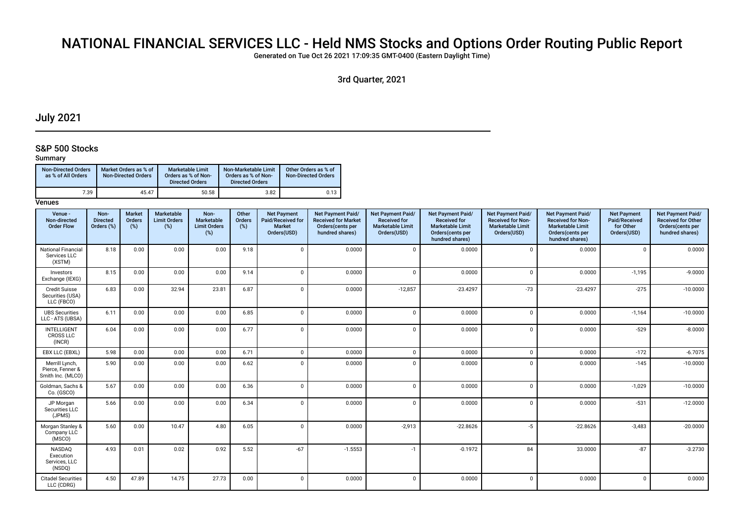# NATIONAL FINANCIAL SERVICES LLC - Held NMS Stocks and Options Order Routing Public Report

Generated on Tue Oct 26 2021 17:09:35 GMT-0400 (Eastern Daylight Time)

3rd Quarter, 2021

## July 2021

## S&P 500 Stocks

## Summary

| <b>Non-Directed Orders</b><br>as % of All Orders | Market Orders as % of<br><b>Non-Directed Orders</b> | <b>Marketable Limit</b><br>Orders as % of Non-<br><b>Directed Orders</b> | Non-Marketable Limit<br>Orders as % of Non-<br><b>Directed Orders</b> | Other Orders as % of<br>Non-Directed Orders |
|--------------------------------------------------|-----------------------------------------------------|--------------------------------------------------------------------------|-----------------------------------------------------------------------|---------------------------------------------|
| 7.39                                             | 45.47                                               | 50.58                                                                    | 3.82                                                                  | 0.13                                        |

| Venue -<br>Non-directed<br><b>Order Flow</b>            | Non-<br><b>Directed</b><br>Orders (%) | <b>Market</b><br>Orders<br>(%) | Marketable<br><b>Limit Orders</b><br>$(\%)$ | Non-<br>Marketable<br><b>Limit Orders</b><br>$(\%)$ | Other<br>Orders<br>(%) | <b>Net Payment</b><br>Paid/Received for<br><b>Market</b><br>Orders(USD) | <b>Net Payment Paid/</b><br><b>Received for Market</b><br>Orders(cents per<br>hundred shares) | Net Payment Paid/<br><b>Received for</b><br><b>Marketable Limit</b><br>Orders(USD) | Net Payment Paid/<br><b>Received for</b><br><b>Marketable Limit</b><br>Orders(cents per<br>hundred shares) | Net Payment Paid/<br><b>Received for Non-</b><br><b>Marketable Limit</b><br>Orders(USD) | Net Payment Paid/<br><b>Received for Non-</b><br><b>Marketable Limit</b><br>Orders(cents per<br>hundred shares) | <b>Net Payment</b><br>Paid/Received<br>for Other<br>Orders(USD) | Net Payment Paid/<br><b>Received for Other</b><br>Orders(cents per<br>hundred shares) |
|---------------------------------------------------------|---------------------------------------|--------------------------------|---------------------------------------------|-----------------------------------------------------|------------------------|-------------------------------------------------------------------------|-----------------------------------------------------------------------------------------------|------------------------------------------------------------------------------------|------------------------------------------------------------------------------------------------------------|-----------------------------------------------------------------------------------------|-----------------------------------------------------------------------------------------------------------------|-----------------------------------------------------------------|---------------------------------------------------------------------------------------|
| <b>National Financial</b><br>Services LLC<br>(XSTM)     | 8.18                                  | 0.00                           | 0.00                                        | 0.00                                                | 9.18                   | $\mathbf 0$                                                             | 0.0000                                                                                        | $\mathbf 0$                                                                        | 0.0000                                                                                                     | $\mathbf 0$                                                                             | 0.0000                                                                                                          | $\mathbf{0}$                                                    | 0.0000                                                                                |
| Investors<br>Exchange (IEXG)                            | 8.15                                  | 0.00                           | 0.00                                        | 0.00                                                | 9.14                   | $\mathbf 0$                                                             | 0.0000                                                                                        | $\Omega$                                                                           | 0.0000                                                                                                     | $\Omega$                                                                                | 0.0000                                                                                                          | $-1,195$                                                        | $-9.0000$                                                                             |
| <b>Credit Suisse</b><br>Securities (USA)<br>LLC (FBCO)  | 6.83                                  | 0.00                           | 32.94                                       | 23.81                                               | 6.87                   | $\Omega$                                                                | 0.0000                                                                                        | $-12,857$                                                                          | $-23.4297$                                                                                                 | $-73$                                                                                   | $-23.4297$                                                                                                      | $-275$                                                          | $-10.0000$                                                                            |
| <b>UBS Securities</b><br>LLC - ATS (UBSA)               | 6.11                                  | 0.00                           | 0.00                                        | 0.00                                                | 6.85                   | $\mathbf 0$                                                             | 0.0000                                                                                        | $\mathbf{0}$                                                                       | 0.0000                                                                                                     | $\Omega$                                                                                | 0.0000                                                                                                          | $-1,164$                                                        | $-10.0000$                                                                            |
| <b>INTELLIGENT</b><br><b>CROSS LLC</b><br>(INCR)        | 6.04                                  | 0.00                           | 0.00                                        | 0.00                                                | 6.77                   | $\mathbf 0$                                                             | 0.0000                                                                                        | $\mathbf{0}$                                                                       | 0.0000                                                                                                     | $\mathbf 0$                                                                             | 0.0000                                                                                                          | $-529$                                                          | $-8.0000$                                                                             |
| EBX LLC (EBXL)                                          | 5.98                                  | 0.00                           | 0.00                                        | 0.00                                                | 6.71                   | $\mathbf 0$                                                             | 0.0000                                                                                        | $\mathbf{0}$                                                                       | 0.0000                                                                                                     | $\mathbf 0$                                                                             | 0.0000                                                                                                          | $-172$                                                          | $-6.7075$                                                                             |
| Merrill Lynch,<br>Pierce, Fenner &<br>Smith Inc. (MLCO) | 5.90                                  | 0.00                           | 0.00                                        | 0.00                                                | 6.62                   | $\Omega$                                                                | 0.0000                                                                                        | $\mathbf{0}$                                                                       | 0.0000                                                                                                     | $\Omega$                                                                                | 0.0000                                                                                                          | $-145$                                                          | $-10.0000$                                                                            |
| Goldman, Sachs &<br>Co. (GSCO)                          | 5.67                                  | 0.00                           | 0.00                                        | 0.00                                                | 6.36                   | $\mathbf 0$                                                             | 0.0000                                                                                        | $\Omega$                                                                           | 0.0000                                                                                                     | $\Omega$                                                                                | 0.0000                                                                                                          | $-1,029$                                                        | $-10.0000$                                                                            |
| JP Morgan<br>Securities LLC<br>(JPMS)                   | 5.66                                  | 0.00                           | 0.00                                        | 0.00                                                | 6.34                   | $\mathbf 0$                                                             | 0.0000                                                                                        | $\mathbf{0}$                                                                       | 0.0000                                                                                                     | $\mathbf 0$                                                                             | 0.0000                                                                                                          | $-531$                                                          | $-12.0000$                                                                            |
| Morgan Stanley &<br>Company LLC<br>(MSCO)               | 5.60                                  | 0.00                           | 10.47                                       | 4.80                                                | 6.05                   | $\mathbf 0$                                                             | 0.0000                                                                                        | $-2,913$                                                                           | $-22.8626$                                                                                                 | $-5$                                                                                    | $-22.8626$                                                                                                      | $-3,483$                                                        | $-20.0000$                                                                            |
| <b>NASDAO</b><br>Execution<br>Services, LLC<br>(NSDQ)   | 4.93                                  | 0.01                           | 0.02                                        | 0.92                                                | 5.52                   | $-67$                                                                   | $-1.5553$                                                                                     | $-1$                                                                               | $-0.1972$                                                                                                  | 84                                                                                      | 33.0000                                                                                                         | $-87$                                                           | $-3.2730$                                                                             |
| <b>Citadel Securities</b><br>LLC (CDRG)                 | 4.50                                  | 47.89                          | 14.75                                       | 27.73                                               | 0.00                   | $\mathbf 0$                                                             | 0.0000                                                                                        | $\mathbf 0$                                                                        | 0.0000                                                                                                     | $\Omega$                                                                                | 0.0000                                                                                                          | $\Omega$                                                        | 0.0000                                                                                |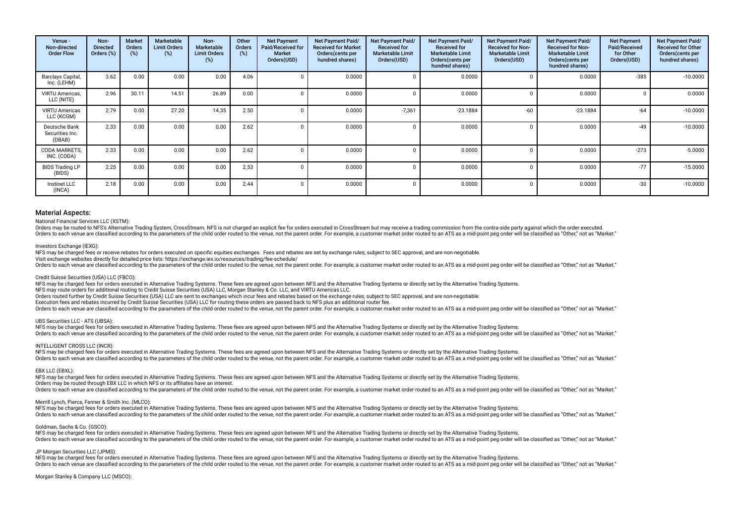| Venue -<br>Non-directed<br><b>Order Flow</b> | Non-<br><b>Directed</b><br>Orders (%) | <b>Market</b><br>Orders<br>(%) | Marketable<br><b>Limit Orders</b><br>(%) | Non-<br><b>Marketable</b><br><b>Limit Orders</b><br>(%) | Other<br>Orders<br>(%) | <b>Net Payment</b><br><b>Paid/Received for</b><br><b>Market</b><br>Orders(USD) | <b>Net Payment Paid/</b><br><b>Received for Market</b><br>Orders(cents per<br>hundred shares) | Net Payment Paid/<br><b>Received for</b><br><b>Marketable Limit</b><br>Orders(USD) | <b>Net Payment Paid/</b><br><b>Received for</b><br><b>Marketable Limit</b><br>Orders (cents per<br>hundred shares) | Net Payment Paid/<br><b>Received for Non-</b><br><b>Marketable Limit</b><br>Orders(USD) | Net Payment Paid/<br><b>Received for Non-</b><br><b>Marketable Limit</b><br>Orders(cents per<br>hundred shares) | <b>Net Payment</b><br>Paid/Received<br>for Other<br>Orders(USD) | Net Payment Paid/<br><b>Received for Other</b><br>Orders(cents per<br>hundred shares) |
|----------------------------------------------|---------------------------------------|--------------------------------|------------------------------------------|---------------------------------------------------------|------------------------|--------------------------------------------------------------------------------|-----------------------------------------------------------------------------------------------|------------------------------------------------------------------------------------|--------------------------------------------------------------------------------------------------------------------|-----------------------------------------------------------------------------------------|-----------------------------------------------------------------------------------------------------------------|-----------------------------------------------------------------|---------------------------------------------------------------------------------------|
| Barclays Capital,<br>Inc. (LEHM)             | 3.62                                  | 0.00                           | 0.00                                     | 0.00                                                    | 4.06                   |                                                                                | 0.0000                                                                                        |                                                                                    | 0.0000                                                                                                             |                                                                                         | 0.0000                                                                                                          | $-385$                                                          | $-10.0000$                                                                            |
| VIRTU Americas,<br>LLC (NITE)                | 2.96                                  | 30.11                          | 14.51                                    | 26.89                                                   | 0.00                   |                                                                                | 0.0000                                                                                        |                                                                                    | 0.0000                                                                                                             |                                                                                         | 0.0000                                                                                                          |                                                                 | 0.0000                                                                                |
| <b>VIRTU Americas</b><br>LLC (KCGM)          | 2.79                                  | 0.00                           | 27.20                                    | 14.35                                                   | 2.50                   |                                                                                | 0.0000                                                                                        | $-7,361$                                                                           | $-23.1884$                                                                                                         | $-60$                                                                                   | $-23.1884$                                                                                                      | $-64$                                                           | $-10.0000$                                                                            |
| Deutsche Bank<br>Securities Inc.<br>(DBAB)   | 2.33                                  | 0.00                           | 0.00                                     | 0.00                                                    | 2.62                   |                                                                                | 0.0000                                                                                        |                                                                                    | 0.0000                                                                                                             |                                                                                         | 0.0000                                                                                                          | $-49$                                                           | $-10.0000$                                                                            |
| CODA MARKETS,<br>INC. (CODA)                 | 2.33                                  | 0.00                           | 0.00                                     | 0.00                                                    | 2.62                   |                                                                                | 0.0000                                                                                        |                                                                                    | 0.0000                                                                                                             |                                                                                         | 0.0000                                                                                                          | $-273$                                                          | $-5.0000$                                                                             |
| <b>BIDS Trading LP</b><br>(BIDS)             | 2.25                                  | 0.00                           | 0.00                                     | 0.00                                                    | 2.53                   |                                                                                | 0.0000                                                                                        |                                                                                    | 0.0000                                                                                                             |                                                                                         | 0.0000                                                                                                          | $-77$                                                           | $-15.0000$                                                                            |
| Instinet LLC<br>(INCA)                       | 2.18                                  | 0.00                           | 0.00                                     | 0.00                                                    | 2.44                   |                                                                                | 0.0000                                                                                        |                                                                                    | 0.0000                                                                                                             |                                                                                         | 0.0000                                                                                                          | $-30$                                                           | $-10.0000$                                                                            |

### National Financial Services LLC (XSTM):

Orders may be routed to NFS's Alternative Trading System, CrossStream. NFS is not charged an explicit fee for orders executed in CrossStream but may receive a trading commission from the contra-side party against which the

Orders to each venue are classified according to the parameters of the child order routed to the venue, not the parent order. For example, a customer market order routed to an ATS as a mid-point peg order will be classifie

### Investors Exchange (IEXG):

NFS may be charged fees or receive rebates for orders executed on specific equities exchanges. Fees and rebates are set by exchange rules, subject to SEC approval, and are non-negotiable.

Visit exchange websites directly for detailed price lists: https://exchange.iex.io/resources/trading/fee-schedule/

Orders to each venue are classified according to the parameters of the child order routed to the venue, not the parent order. For example, a customer market order routed to an ATS as a mid-point peg order will be classifie

### Credit Suisse Securities (USA) LLC (FBCO):

NFS may be charged fees for orders executed in Alternative Trading Systems. These fees are agreed upon between NFS and the Alternative Trading Systems or directly set by the Alternative Trading Systems. NFS may route orders for additional routing to Credit Suisse Securities (USA) LLC, Morgan Stanley & Co. LLC, and VIRTU Americas LLC.

Orders routed further by Credit Suisse Securities (USA) LLC are sent to exchanges which incur fees and rebates based on the exchange rules, subject to SEC approval, and are non-negotiable.

Execution fees and rebates incurred by Credit Suisse Securities (USA) LLC for routing these orders are passed back to NFS plus an additional router fee.

Orders to each venue are classified according to the parameters of the child order routed to the venue, not the parent order. For example, a customer market order routed to an ATS as a mid-point peg order will be classifie

### UBS Securities LLC - ATS (UBSA):

NFS may be charged fees for orders executed in Alternative Trading Systems. These fees are agreed upon between NFS and the Alternative Trading Systems or directly set by the Alternative Trading Systems. Orders to each venue are classified according to the parameters of the child order routed to the venue, not the parent order. For example, a customer market order routed to an ATS as a mid-point peq order will be classifie

### INTELLIGENT CROSS LLC (INCR):

NFS may be charged fees for orders executed in Alternative Trading Systems. These fees are agreed upon between NFS and the Alternative Trading Systems or directly set by the Alternative Trading Systems. Orders to each venue are classified according to the parameters of the child order routed to the venue, not the parent order. For example, a customer market order routed to an ATS as a mid-point peg order will be classifie

### EBX LLC (EBXL):

NFS may be charged fees for orders executed in Alternative Trading Systems. These fees are agreed upon between NFS and the Alternative Trading Systems or directly set by the Alternative Trading Systems. Orders may be routed through EBX LLC in which NFS or its afliates have an interest.

Orders to each venue are classified according to the parameters of the child order routed to the venue, not the parent order. For example, a customer market order routed to an ATS as a mid-point peg order will be classifie

### Merrill Lynch, Pierce, Fenner & Smith Inc. (MLCO):

NFS may be charged fees for orders executed in Alternative Trading Systems. These fees are agreed upon between NFS and the Alternative Trading Systems or directly set by the Alternative Trading Systems or directly set by t Orders to each venue are classified according to the parameters of the child order routed to the venue, not the parent order. For example, a customer market order routed to an ATS as a mid-point peg order will be classifie

### Goldman, Sachs & Co. (GSCO):

NFS may be charged fees for orders executed in Alternative Trading Systems. These fees are agreed upon between NFS and the Alternative Trading Systems or directly set by the Alternative Trading Systems. Orders to each venue are classified according to the parameters of the child order routed to the venue, not the parent order. For example, a customer market order routed to an ATS as a mid-point peg order will be classifie

### JP Morgan Securities LLC (JPMS):

NFS may be charged fees for orders executed in Alternative Trading Systems. These fees are agreed upon between NFS and the Alternative Trading Systems or directly set by the Alternative Trading Systems. Orders to each venue are classified according to the parameters of the child order routed to the venue, not the parent order. For example, a customer market order routed to an ATS as a mid-point peg order will be classifie

### Morgan Stanley & Company LLC (MSCO):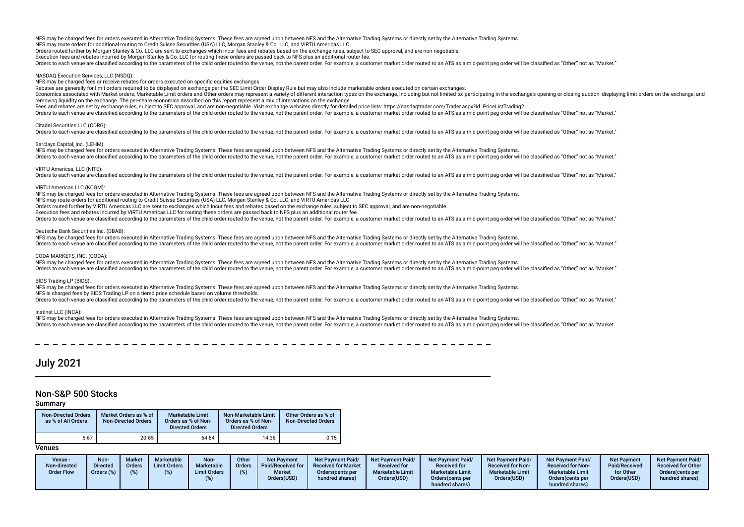Orders routed further by Morgan Stanley & Co. LLC are sent to exchanges which incur fees and rebates based on the exchange rules, subject to SEC approval, and are non-negotiable.

Execution fees and rebates incurred by Morgan Stanley & Co. LLC for routing these orders are passed back to NFS plus an additional router fee.

Orders to each venue are classified according to the parameters of the child order routed to the venue, not the parent order. For example, a customer market order routed to an ATS as a mid-point peg order will be classifie

### NASDAQ Execution Services, LLC (NSDQ):

NFS may be charged fees or receive rebates for orders executed on specifc equities exchanges

Rebates are generally for limit orders required to be displayed on exchange per the SEC Limit Order Display Rule but may also include marketable orders executed on certain exchanges.

Economics associated with Market orders, Marketable Limit orders and Other orders may represent a variety of different interaction types on the exchange, including but not limited to: participating in the exchange's openin removing liquidity on the exchange. The per-share economics described on this report represent a mix of interactions on the exchange.

Fees and rebates are set by exchange rules, subject to SEC approval, and are non-negotiable. Visit exchange websites directly for detailed price lists: https://nasdagtrader.com/Trader.aspx?id=PriceListTrading2

Orders to each venue are classified according to the parameters of the child order routed to the venue, not the parent order. For example, a customer market order routed to an ATS as a mid-point peg order will be classifie

### Citadel Securities LLC (CDRG):

Criters to each venue are classified according to the parameters of the child order routed to the venue, not the parent order. For example, a customer market order routed to an ATS as a mid-point peg order will be classifi

### Barclays Capital, Inc. (LEHM):

NFS may be charged fees for orders executed in Alternative Trading Systems. These fees are agreed upon between NFS and the Alternative Trading Systems or directly set by the Alternative Trading Systems.

Orders to each venue are classified according to the parameters of the child order routed to the venue, not the parent order. For example, a customer market order routed to an ATS as a mid-point peg order will be classifie

### VIRTU Americas, LLC (NITE):

Orders to each venue are classified according to the parameters of the child order routed to the venue, not the parent order. For example, a customer market order routed to an ATS as a mid-point peg order will be classifie

### VIRTU Americas LLC (KCGM):

NFS may be charged fees for orders executed in Alternative Trading Systems. These fees are agreed upon between NFS and the Alternative Trading Systems or directly set by the Alternative Trading Systems. NFS may route orders for additional routing to Credit Suisse Securities (USA) LLC, Morgan Stanley & Co. LLC, and VIRTU Americas LLC.

Orders routed further by VIRTU Americas LLC are sent to exchanges which incur fees and rebates based on the exchange rules, subject to SEC approval, and are non-negotiable.

Execution fees and rebates incurred by VIRTU Americas LLC for routing these orders are passed back to NFS plus an additional router fee.

Orders to each venue are classified according to the parameters of the child order routed to the venue, not the parent order. For example, a customer market order routed to an ATS as a mid-point peg order will be classifie

### Deutsche Bank Securities Inc. (DBAB):

NFS may be charged fees for orders executed in Alternative Trading Systems. These fees are agreed upon between NFS and the Alternative Trading Systems or directly set by the Alternative Trading Systems or directly set by t Orders to each venue are classified according to the parameters of the child order routed to the venue, not the parent order. For example, a customer market order routed to an ATS as a mid-point peg order will be classifie

### CODA MARKETS, INC. (CODA):

NFS may be charged fees for orders executed in Alternative Trading Systems. These fees are agreed upon between NFS and the Alternative Trading Systems or directly set by the Alternative Trading Systems. Orders to each venue are classified according to the parameters of the child order routed to the yenue, not the parent order. For example, a customer market order routed to an ATS as a mid-point peg order will be classifie

### BIDS Trading LP (BIDS):

NFS may be charged fees for orders executed in Alternative Trading Systems. These fees are agreed upon between NFS and the Alternative Trading Systems or directly set by the Alternative Trading Systems.

NFS is charged fees by BIDS Trading LP on a tiered price schedule based on volume thresholds.

Orders to each venue are classified according to the parameters of the child order routed to the venue, not the parent order. For example, a customer market order routed to an ATS as a mid-point peg order will be classifie

### Instinet LLC (INCA):

NFS may be charged fees for orders executed in Alternative Trading Systems. These fees are agreed upon between NFS and the Alternative Trading Systems or directly set by the Alternative Trading Systems. Orders to each venue are classified according to the parameters of the child order routed to the venue, not the parent order. For example, a customer market order routed to an ATS as a mid-point peg order will be classifie

## July 2021

### Non-S&P 500 Stocks

### Summary

| <b>Non-Directed Orders</b><br>as % of All Orders | Market Orders as % of<br><b>Non-Directed Orders</b> | <b>Marketable Limit</b><br>Orders as % of Non-<br><b>Directed Orders</b> | Non-Marketable Limit<br>Orders as % of Non-<br><b>Directed Orders</b> | Other Orders as % of<br><b>Non-Directed Orders</b> |
|--------------------------------------------------|-----------------------------------------------------|--------------------------------------------------------------------------|-----------------------------------------------------------------------|----------------------------------------------------|
| 6.67                                             | 20.65                                               | 64.84                                                                    | 14.36                                                                 | 0.15                                               |

| Venue -<br>Non-directed<br><b>Order Flow</b> | <b>Non</b><br><b>Directed</b><br>Orders $(\%)$ | <b>Market</b><br><b>Orders</b><br>$(\%)$ | Marketable<br><b>Limit Orders</b> | Non-<br>Marketable<br><b>Limit Orders</b> | Other<br><b>Orders</b> | <b>Net Payment</b><br>Paid/Received for<br><b>Market</b><br>Orders(USD) | <b>Net Payment Paid/</b><br><b>Received for Market</b><br>Orders(cents per<br>hundred shares) | <b>Net Payment Paid/</b><br><b>Received for</b><br><b>Marketable Limit</b><br>Orders(USD) | <b>Net Payment Paid/</b><br><b>Received for</b><br><b>Marketable Limit</b><br>Orders (cents per<br>hundred shares) | <b>Net Payment Paid/</b><br><b>Received for Non-</b><br><b>Marketable Limit</b><br>Orders(USD) | Net Payment Paid/<br><b>Received for Non-</b><br><b>Marketable Limit</b><br>Orders(cents per<br>hundred shares) | <b>Net Payment</b><br>Paid/Received<br>for Other<br>Orders(USD) | <b>Net Payment Paid/</b><br><b>Received for Other</b><br>Orders (cents per<br>hundred shares) |
|----------------------------------------------|------------------------------------------------|------------------------------------------|-----------------------------------|-------------------------------------------|------------------------|-------------------------------------------------------------------------|-----------------------------------------------------------------------------------------------|-------------------------------------------------------------------------------------------|--------------------------------------------------------------------------------------------------------------------|------------------------------------------------------------------------------------------------|-----------------------------------------------------------------------------------------------------------------|-----------------------------------------------------------------|-----------------------------------------------------------------------------------------------|
|----------------------------------------------|------------------------------------------------|------------------------------------------|-----------------------------------|-------------------------------------------|------------------------|-------------------------------------------------------------------------|-----------------------------------------------------------------------------------------------|-------------------------------------------------------------------------------------------|--------------------------------------------------------------------------------------------------------------------|------------------------------------------------------------------------------------------------|-----------------------------------------------------------------------------------------------------------------|-----------------------------------------------------------------|-----------------------------------------------------------------------------------------------|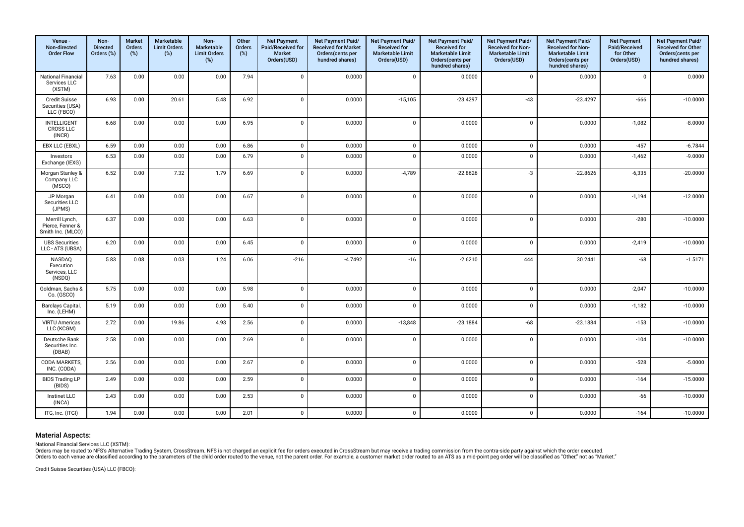| Venue -<br>Non-directed<br><b>Order Flow</b>            | Non-<br><b>Directed</b><br>Orders (%) | Market<br>Orders<br>(%) | Marketable<br><b>Limit Orders</b><br>(%) | Non-<br>Marketable<br><b>Limit Orders</b><br>(%) | Other<br><b>Orders</b><br>$(\%)$ | <b>Net Payment</b><br>Paid/Received for<br><b>Market</b><br>Orders(USD) | Net Payment Paid/<br><b>Received for Market</b><br>Orders(cents per<br>hundred shares) | Net Payment Paid/<br><b>Received for</b><br><b>Marketable Limit</b><br>Orders(USD) | Net Payment Paid/<br><b>Received for</b><br><b>Marketable Limit</b><br>Orders(cents per<br>hundred shares) | Net Payment Paid/<br>Received for Non-<br><b>Marketable Limit</b><br>Orders(USD) | Net Payment Paid/<br>Received for Non-<br><b>Marketable Limit</b><br>Orders(cents per<br>hundred shares) | <b>Net Payment</b><br>Paid/Received<br>for Other<br>Orders(USD) | Net Payment Paid/<br>Received for Other<br>Orders(cents per<br>hundred shares) |
|---------------------------------------------------------|---------------------------------------|-------------------------|------------------------------------------|--------------------------------------------------|----------------------------------|-------------------------------------------------------------------------|----------------------------------------------------------------------------------------|------------------------------------------------------------------------------------|------------------------------------------------------------------------------------------------------------|----------------------------------------------------------------------------------|----------------------------------------------------------------------------------------------------------|-----------------------------------------------------------------|--------------------------------------------------------------------------------|
| <b>National Financial</b><br>Services LLC<br>(XSTM)     | 7.63                                  | 0.00                    | 0.00                                     | 0.00                                             | 7.94                             | $\mathbf{0}$                                                            | 0.0000                                                                                 | $\mathbf 0$                                                                        | 0.0000                                                                                                     | $\mathsf 0$                                                                      | 0.0000                                                                                                   | $\mathbf 0$                                                     | 0.0000                                                                         |
| Credit Suisse<br>Securities (USA)<br>LLC (FBCO)         | 6.93                                  | 0.00                    | 20.61                                    | 5.48                                             | 6.92                             | $\mathbf{0}$                                                            | 0.0000                                                                                 | $-15,105$                                                                          | $-23.4297$                                                                                                 | $-43$                                                                            | $-23.4297$                                                                                               | $-666$                                                          | $-10.0000$                                                                     |
| <b>INTELLIGENT</b><br><b>CROSS LLC</b><br>(INCR)        | 6.68                                  | 0.00                    | 0.00                                     | 0.00                                             | 6.95                             | $\overline{0}$                                                          | 0.0000                                                                                 | $\mathbf 0$                                                                        | 0.0000                                                                                                     | $\mathbf 0$                                                                      | 0.0000                                                                                                   | $-1,082$                                                        | $-8.0000$                                                                      |
| EBX LLC (EBXL)                                          | 6.59                                  | 0.00                    | 0.00                                     | 0.00                                             | 6.86                             | $\mathsf 0$                                                             | 0.0000                                                                                 | $\mathbf 0$                                                                        | 0.0000                                                                                                     | $\mathsf 0$                                                                      | 0.0000                                                                                                   | $-457$                                                          | $-6.7844$                                                                      |
| Investors<br>Exchange (IEXG)                            | 6.53                                  | 0.00                    | 0.00                                     | 0.00                                             | 6.79                             | $\overline{0}$                                                          | 0.0000                                                                                 | $\Omega$                                                                           | 0.0000                                                                                                     | $\mathbf 0$                                                                      | 0.0000                                                                                                   | $-1,462$                                                        | $-9.0000$                                                                      |
| Morgan Stanley &<br>Company LLC<br>(MSCO)               | 6.52                                  | 0.00                    | 7.32                                     | 1.79                                             | 6.69                             | $\mathbf 0$                                                             | 0.0000                                                                                 | $-4,789$                                                                           | $-22.8626$                                                                                                 | $-3$                                                                             | $-22.8626$                                                                                               | $-6,335$                                                        | $-20.0000$                                                                     |
| JP Morgan<br><b>Securities LLC</b><br>(JPMS)            | 6.41                                  | 0.00                    | 0.00                                     | 0.00                                             | 6.67                             | $\mathbf 0$                                                             | 0.0000                                                                                 | $\mathbf 0$                                                                        | 0.0000                                                                                                     | $\mathbf 0$                                                                      | 0.0000                                                                                                   | $-1,194$                                                        | $-12.0000$                                                                     |
| Merrill Lynch,<br>Pierce, Fenner &<br>Smith Inc. (MLCO) | 6.37                                  | 0.00                    | 0.00                                     | 0.00                                             | 6.63                             | $\mathbf{0}$                                                            | 0.0000                                                                                 | $\mathbf 0$                                                                        | 0.0000                                                                                                     | $\mathbf 0$                                                                      | 0.0000                                                                                                   | $-280$                                                          | $-10.0000$                                                                     |
| <b>UBS Securities</b><br>LLC - ATS (UBSA)               | 6.20                                  | 0.00                    | 0.00                                     | 0.00                                             | 6.45                             | $\mathbf{0}$                                                            | 0.0000                                                                                 | $\mathbf 0$                                                                        | 0.0000                                                                                                     | $\mathbf 0$                                                                      | 0.0000                                                                                                   | $-2,419$                                                        | $-10.0000$                                                                     |
| NASDAQ<br>Execution<br>Services, LLC<br>(NSDQ)          | 5.83                                  | 0.08                    | 0.03                                     | 1.24                                             | 6.06                             | $-216$                                                                  | $-4.7492$                                                                              | $-16$                                                                              | $-2.6210$                                                                                                  | 444                                                                              | 30.2441                                                                                                  | $-68$                                                           | $-1.5171$                                                                      |
| Goldman, Sachs &<br>Co. (GSCO)                          | 5.75                                  | 0.00                    | 0.00                                     | 0.00                                             | 5.98                             | $\mathbf{0}$                                                            | 0.0000                                                                                 | $\mathbf 0$                                                                        | 0.0000                                                                                                     | $\mathbf 0$                                                                      | 0.0000                                                                                                   | $-2,047$                                                        | $-10.0000$                                                                     |
| Barclays Capital,<br>Inc. (LEHM)                        | 5.19                                  | 0.00                    | 0.00                                     | 0.00                                             | 5.40                             | $\mathbf{0}$                                                            | 0.0000                                                                                 | $\mathbf 0$                                                                        | 0.0000                                                                                                     | $\mathbf 0$                                                                      | 0.0000                                                                                                   | $-1,182$                                                        | $-10.0000$                                                                     |
| <b>VIRTU Americas</b><br>LLC (KCGM)                     | 2.72                                  | 0.00                    | 19.86                                    | 4.93                                             | 2.56                             | $\mathbf{0}$                                                            | 0.0000                                                                                 | $-13,848$                                                                          | $-23.1884$                                                                                                 | $-68$                                                                            | $-23.1884$                                                                                               | $-153$                                                          | $-10.0000$                                                                     |
| Deutsche Bank<br>Securities Inc.<br>(DBAB)              | 2.58                                  | 0.00                    | 0.00                                     | 0.00                                             | 2.69                             | $\mathbf{0}$                                                            | 0.0000                                                                                 | $\mathbf 0$                                                                        | 0.0000                                                                                                     | $\mathbf 0$                                                                      | 0.0000                                                                                                   | $-104$                                                          | $-10.0000$                                                                     |
| CODA MARKETS,<br>INC. (CODA)                            | 2.56                                  | 0.00                    | 0.00                                     | 0.00                                             | 2.67                             | $\mathbf{0}$                                                            | 0.0000                                                                                 | $\mathbf 0$                                                                        | 0.0000                                                                                                     | $\mathsf 0$                                                                      | 0.0000                                                                                                   | $-528$                                                          | $-5.0000$                                                                      |
| <b>BIDS Trading LP</b><br>(BIDS)                        | 2.49                                  | 0.00                    | 0.00                                     | 0.00                                             | 2.59                             | $\mathbf{0}$                                                            | 0.0000                                                                                 | $\mathbf 0$                                                                        | 0.0000                                                                                                     | $\mathbf 0$                                                                      | 0.0000                                                                                                   | $-164$                                                          | $-15.0000$                                                                     |
| Instinet LLC<br>(INCA)                                  | 2.43                                  | 0.00                    | 0.00                                     | 0.00                                             | 2.53                             | $\mathbf 0$                                                             | 0.0000                                                                                 | $\mathbf 0$                                                                        | 0.0000                                                                                                     | $\mathsf 0$                                                                      | 0.0000                                                                                                   | $-66$                                                           | $-10.0000$                                                                     |
| ITG, Inc. (ITGI)                                        | 1.94                                  | 0.00                    | 0.00                                     | 0.00                                             | 2.01                             | $\mathbf 0$                                                             | 0.0000                                                                                 | $\mathbf 0$                                                                        | 0.0000                                                                                                     | $\mathsf 0$                                                                      | 0.0000                                                                                                   | $-164$                                                          | $-10.0000$                                                                     |

National Financial Services LLC (XSTM):<br>Orders may be routed to NFS's Alternative Trading System, CrossStream. NFS is not charged an explicit fee for orders executed in CrossStream but may receive a trading commission from

Credit Suisse Securities (USA) LLC (FBCO):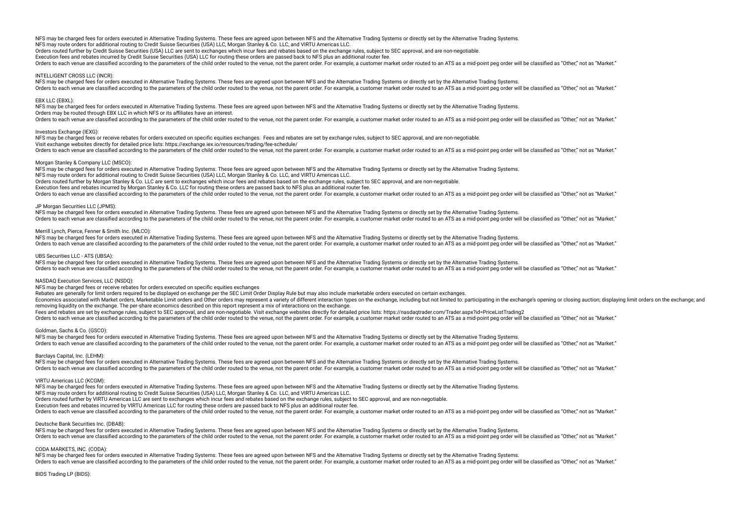Orders routed further by Credit Suisse Securities (USA) LLC are sent to exchanges which incur fees and rebates based on the exchange rules, subject to SEC approval, and are non-negotiable. Execution fees and rebates incurred by Credit Suisse Securities (USA) LLC for routing these orders are passed back to NFS plus an additional router fee. Orders to each venue are classified according to the parameters of the child order routed to the venue, not the parent order. For example, a customer market order routed to an ATS as a mid-point peg order will be classifie

### INTELLIGENT CROSS LLC (INCR):

NFS may be charged fees for orders executed in Alternative Trading Systems. These fees are agreed upon between NFS and the Alternative Trading Systems or directly set by the Alternative Trading Systems. Orders to each venue are classified according to the parameters of the child order routed to the venue, not the parent order. For example, a customer market order routed to an ATS as a mid-point peg order will be classifie

### EBX LLC (EBXL):

NFS may be charged fees for orders executed in Alternative Trading Systems. These fees are agreed upon between NFS and the Alternative Trading Systems or directly set by the Alternative Trading Systems. Orders may be routed through EBX LLC in which NFS or its affiliates have an interest.

Orders to each venue are classified according to the parameters of the child order routed to the venue, not the parent order. For example, a customer market order routed to an ATS as a mid-point peg order will be classifie

### Investors Exchange (IEXG):

NFS may be charged fees or receive rebates for orders executed on specific equities exchanges. Fees and rebates are set by exchange rules, subject to SEC approval, and are non-negotiable. Visit exchange websites directly for detailed price lists: https://exchange.iex.io/resources/trading/fee-schedule/ Orders to each venue are classified according to the parameters of the child order routed to the venue, not the parent order. For example, a customer market order routed to an ATS as a mid-point peg order will be classifie

### Morgan Stanley & Company LLC (MSCO):

NFS may be charged fees for orders executed in Alternative Trading Systems. These fees are agreed upon between NFS and the Alternative Trading Systems or directly set by the Alternative Trading Systems. NFS may route orders for additional routing to Credit Suisse Securities (USA) LLC, Morgan Stanley & Co. LLC, and VIRTU Americas LLC. Orders routed further by Morgan Stanley & Co. LLC are sent to exchanges which incur fees and rebates based on the exchange rules, subject to SEC approval, and are non-negotiable. Execution fees and rebates incurred by Morgan Stanley & Co. LLC for routing these orders are passed back to NFS plus an additional router fee. Orders to each venue are classified according to the parameters of the child order routed to the venue, not the parent order. For example, a customer market order routed to an ATS as a mid-point peo order will be classifie

### JP Morgan Securities LLC (JPMS):

NFS may be charged fees for orders executed in Alternative Trading Systems. These fees are agreed upon between NFS and the Alternative Trading Systems or directly set by the Alternative Trading Systems. Orders to each venue are classified according to the parameters of the child order routed to the venue, not the parent order. For example, a customer market order routed to an ATS as a mid-point peg order will be classifie

### Merrill Lynch, Pierce, Fenner & Smith Inc. (MLCO):

NFS may be charged fees for orders executed in Alternative Trading Systems. These fees are agreed upon between NFS and the Alternative Trading Systems or directly set by the Alternative Trading Systems or directly set by t Orders to each venue are classified according to the parameters of the child order routed to the venue, not the parent order. For example, a customer market order routed to an ATS as a mid-point peg order will be classifie

### UBS Securities LLC - ATS (UBSA):

NFS may be charged fees for orders executed in Alternative Trading Systems. These fees are agreed upon between NFS and the Alternative Trading Systems or directly set by the Alternative Trading Systems. Orders to each venue are classified according to the parameters of the child order routed to the yenue, not the parent order. For example, a customer market order routed to an ATS as a mid-point peg order will be classifie

### NASDAQ Execution Services, LLC (NSDQ):

NFS may be charged fees or receive rebates for orders executed on specifc equities exchanges

Rebates are generally for limit orders required to be displayed on exchange per the SEC Limit Order Display Rule but may also include marketable orders executed on certain exchanges.

Economics associated with Market orders, Marketable Limit orders and Other orders may represent a variety of different interaction types on the exchange, including but not limited to: participating in the exchange's openin removing liquidity on the exchange. The per-share economics described on this report represent a mix of interactions on the exchange.

Fees and rebates are set by exchange rules, subject to SEC approval, and are non-negotiable. Visit exchange websites directly for detailed price lists: https://nasdaqtrader.com/Trader.aspx?id=PriceListTrading2

Orders to each venue are classified according to the parameters of the child order routed to the venue, not the parent order. For example, a customer market order routed to an ATS as a mid-point peo order will be classifie

### Goldman, Sachs & Co. (GSCO):

NFS may be charged fees for orders executed in Alternative Trading Systems. These fees are agreed upon between NFS and the Alternative Trading Systems or directly set by the Alternative Trading Systems. Orders to each venue are classified according to the parameters of the child order routed to the venue, not the parent order. For example, a customer market order routed to an ATS as a mid-point peg order will be classifie

### Barclays Capital, Inc. (LEHM):

NFS may be charged fees for orders executed in Alternative Trading Systems. These fees are agreed upon between NFS and the Alternative Trading Systems or directly set by the Alternative Trading Systems. Orders to each venue are classified according to the parameters of the child order routed to the venue, not the parent order. For example, a customer market order routed to an ATS as a mid-point peg order will be classifie

### VIRTU Americas LLC (KCGM):

NFS may be charged fees for orders executed in Alternative Trading Systems. These fees are agreed upon between NFS and the Alternative Trading Systems or directly set by the Alternative Trading Systems.

NFS may route orders for additional routing to Credit Suisse Securities (USA) LLC, Morgan Stanley & Co. LLC, and VIRTU Americas LLC.

Orders routed further by VIRTU Americas LLC are sent to exchanges which incur fees and rebates based on the exchange rules, subject to SEC approval, and are non-negotiable.

Execution fees and rebates incurred by VIRTU Americas LLC for routing these orders are passed back to NFS plus an additional router fee.

There is each venue are classified according to the parameters of the child order routed to the yenue pot the parent order. For example a customer market order routed to an ATS as a mid-point peo order will be classified a

### Deutsche Bank Securities Inc. (DBAB):

NFS may be charged fees for orders executed in Alternative Trading Systems. These fees are agreed upon between NFS and the Alternative Trading Systems or directly set by the Alternative Trading Systems or directly set by t Orders to each venue are classified according to the parameters of the child order routed to the venue, not the parent order. For example, a customer market order routed to an ATS as a mid-point peg order will be classifie

### CODA MARKETS, INC. (CODA):

NFS may be charged fees for orders executed in Alternative Trading Systems. These fees are agreed upon between NFS and the Alternative Trading Systems or directly set by the Alternative Trading Systems or directly set by t Orders to each venue are classified according to the parameters of the child order routed to the venue, not the parent order. For example, a customer market order routed to an ATS as a mid-point peg order will be classifie

### BIDS Trading LP (BIDS):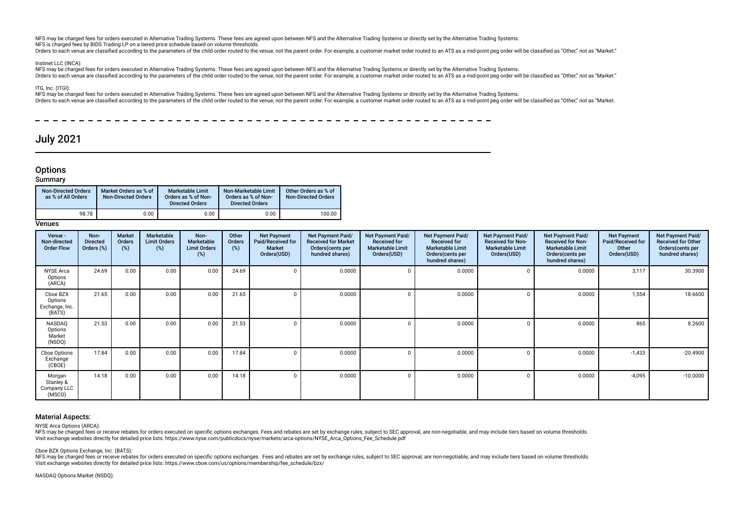NFS may be charged fees for orders executed in Alternative Trading Systems. These fees are agreed upon between NFS and the Alternative Trading Systems or directly set by the Alternative Trading Systems. NFS is charged fees by BIDS Trading LP on a tiered price schedule based on volume thresholds.

Orders to each venue are classified according to the parameters of the child order routed to the venue, not the parent order. For example, a customer market order routed to an ATS as a mid-point peg order will be classifie

### Instinet LLC (INCA):

NFS may be charged fees for orders executed in Alternative Trading Systems. These fees are agreed upon between NFS and the Alternative Trading Systems or directly set by the Alternative Trading Systems or directly set by t Orders to each venue are classified according to the parameters of the child order routed to the venue, not the parent order. For example, a customer market order routed to an ATS as a mid-point peg order will be classifie

### ITG, Inc. (ITGI):

 $\overline{\phantom{0}}$ 

NFS may be charged fees for orders executed in Alternative Trading Systems. These fees are agreed upon between NFS and the Alternative Trading Systems or directly set by the Alternative Trading Systems or directly set by t Orders to each venue are classified according to the parameters of the child order routed to the venue, not the parent order. For example, a customer market order routed to an ATS as a mid-point peg order will be classifie

## July 2021

----------

## **Options**

### **Summary**

| <b>Non-Directed Orders</b><br>as % of All Orders | Market Orders as % of<br><b>Non-Directed Orders</b> | <b>Marketable Limit</b><br>Orders as % of Non-<br><b>Directed Orders</b> | Non-Marketable Limit<br>Orders as % of Non-<br><b>Directed Orders</b> | Other Orders as % of<br><b>Non-Directed Orders</b> |
|--------------------------------------------------|-----------------------------------------------------|--------------------------------------------------------------------------|-----------------------------------------------------------------------|----------------------------------------------------|
| 98.78                                            | 0.00                                                | 0.00                                                                     | 0.00                                                                  | 100.00                                             |

### **Venues**

| Venue -<br>Non-directed<br><b>Order Flow</b>    | Non-<br><b>Directed</b><br>Orders (%) | Market<br>Orders<br>(%) | Marketable<br><b>Limit Orders</b><br>(%) | Non-<br>Marketable<br><b>Limit Orders</b><br>(%) | Other<br>Orders<br>$(\%)$ | <b>Net Payment</b><br>Paid/Received for<br><b>Market</b><br>Orders(USD) | <b>Net Payment Paid/</b><br><b>Received for Market</b><br>Orders(cents per<br>hundred shares) | Net Payment Paid/<br><b>Received for</b><br><b>Marketable Limit</b><br>Orders(USD) | Net Payment Paid/<br><b>Received for</b><br><b>Marketable Limit</b><br>Orders (cents per<br>hundred shares) | Net Payment Paid/<br><b>Received for Non-</b><br><b>Marketable Limit</b><br>Orders(USD) | Net Payment Paid/<br><b>Received for Non-</b><br><b>Marketable Limit</b><br>Orders(cents per<br>hundred shares) | <b>Net Payment</b><br>Paid/Received for<br>Other<br>Orders(USD) | Net Payment Paid/<br><b>Received for Other</b><br>Orders(cents per<br>hundred shares) |
|-------------------------------------------------|---------------------------------------|-------------------------|------------------------------------------|--------------------------------------------------|---------------------------|-------------------------------------------------------------------------|-----------------------------------------------------------------------------------------------|------------------------------------------------------------------------------------|-------------------------------------------------------------------------------------------------------------|-----------------------------------------------------------------------------------------|-----------------------------------------------------------------------------------------------------------------|-----------------------------------------------------------------|---------------------------------------------------------------------------------------|
| <b>NYSE Arca</b><br>Options<br>(ARCA)           | 24.69                                 | 0.00                    | 0.00                                     | 0.00                                             | 24.69                     |                                                                         | 0.0000                                                                                        | $\mathbf 0$                                                                        | 0.0000                                                                                                      | $\sqrt{ }$                                                                              | 0.0000                                                                                                          | 3,117                                                           | 30.3900                                                                               |
| Cboe BZX<br>Options<br>Exchange, Inc.<br>(BATS) | 21.65                                 | 0.00                    | 0.00                                     | 0.00                                             | 21.65                     |                                                                         | 0.0000                                                                                        | $\Omega$                                                                           | 0.0000                                                                                                      | n                                                                                       | 0.0000                                                                                                          | 1,554                                                           | 18.6600                                                                               |
| NASDAQ<br>Options<br>Market<br>(NSDQ)           | 21.53                                 | 0.00                    | 0.00                                     | 0.00                                             | 21.53                     |                                                                         | 0.0000                                                                                        | $\Omega$                                                                           | 0.0000                                                                                                      |                                                                                         | 0.0000                                                                                                          | 865                                                             | 8.2600                                                                                |
| Cboe Options<br>Exchange<br>(CBOE)              | 17.84                                 | 0.00                    | 0.00                                     | 0.00                                             | 17.84                     |                                                                         | 0.0000                                                                                        | $\Omega$                                                                           | 0.0000                                                                                                      | 0                                                                                       | 0.0000                                                                                                          | $-1,433$                                                        | $-20.4900$                                                                            |
| Morgan<br>Stanley &<br>Company LLC<br>(MSCO)    | 14.18                                 | 0.00                    | 0.00                                     | 0.00                                             | 14.18                     |                                                                         | 0.0000                                                                                        | $\mathbf 0$                                                                        | 0.0000                                                                                                      | $\sqrt{ }$                                                                              | 0.0000                                                                                                          | $-4,095$                                                        | $-10.0000$                                                                            |

### Material Aspects:

NYSE Arca Options (ARCA):

NFS may be charged fees or receive rebates for orders executed on specific options exchanges. Fees and rebates are set by exchange rules, subject to SEC approval, are non-negotiable, and may include tiers based on volume t Visit exchange websites directly for detailed price lists: https://www.nyse.com/publicdocs/nyse/markets/arca-options/NYSE\_Arca\_Options\_Fee\_Schedule.pdf

Cboe BZX Options Exchange, Inc. (BATS):

NFS may be charged fees or receive rebates for orders executed on specific options exchanges. Fees and rebates are set by exchange rules, subject to SEC approval, are non-negotiable, and may include tiers based on volume t Visit exchange websites directly for detailed price lists: https://www.cboe.com/us/options/membership/fee\_schedule/bzx/

NASDAQ Options Market (NSDQ):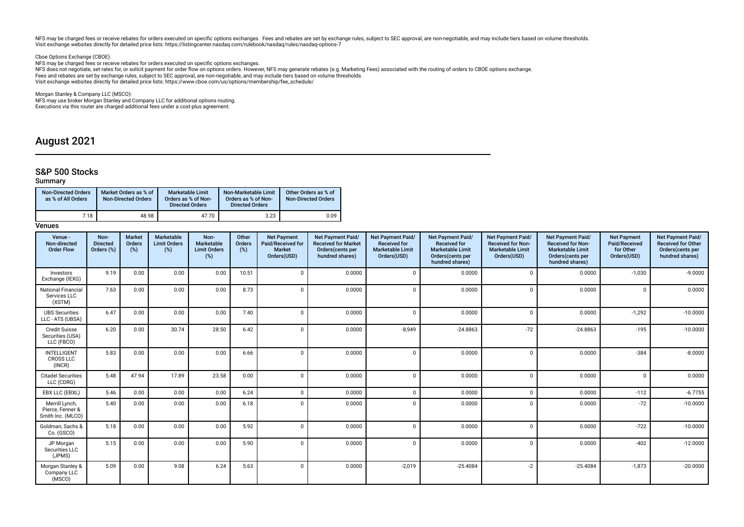NFS may be charged fees or receive rebates for orders executed on specific options exchanges. Fees and rebates are set by exchange rules, subject to SEC approval, are non-negotiable, and may include tiers based on volume t Visit exchange websites directly for detailed price lists: https://listingcenter.nasdaq.com/rulebook/nasdaq/rules/nasdaq-options-7

Cboe Options Exchange (CBOE):

NFS may be charged fees or receive rebates for orders executed on specifc options exchanges.

NFS does not negotiate, set rates for, or solicit payment for order fow on options orders. However, NFS may generate rebates (e.g. Marketing Fees) associated with the routing of orders to CBOE options exchange. Fees and rebates are set by exchange rules, subject to SEC approval, are non-negotiable, and may include tiers based on volume thresholds.<br>Visit exchange websites directly for detailed price lists: https://www.cboe.com/us/

Morgan Stanley & Company LLC (MSCO):

NFS may use broker Morgan Stanley and Company LLC for additional options routing. Executions via this router are charged additional fees under a cost-plus agreement.

## August 2021

## S&P 500 Stocks

### Summary

| <b>Non-Directed Orders</b><br>as % of All Orders | Market Orders as % of<br><b>Non-Directed Orders</b> | <b>Marketable Limit</b><br>Orders as % of Non-<br><b>Directed Orders</b> | Non-Marketable Limit<br>Orders as % of Non-<br><b>Directed Orders</b> | Other Orders as % of<br><b>Non-Directed Orders</b> |
|--------------------------------------------------|-----------------------------------------------------|--------------------------------------------------------------------------|-----------------------------------------------------------------------|----------------------------------------------------|
| 7.18                                             | 48.98                                               | 47.70                                                                    | 3.23                                                                  | 0.09                                               |

| Venue -<br>Non-directed<br><b>Order Flow</b>            | Non-<br><b>Directed</b><br>Orders (%) | Market<br>Orders<br>(%) | Marketable<br><b>Limit Orders</b><br>$(\%)$ | Non-<br>Marketable<br><b>Limit Orders</b><br>$(\%)$ | Other<br>Orders<br>(%) | <b>Net Payment</b><br>Paid/Received for<br><b>Market</b><br>Orders(USD) | Net Payment Paid/<br><b>Received for Market</b><br>Orders(cents per<br>hundred shares) | <b>Net Payment Paid/</b><br><b>Received for</b><br><b>Marketable Limit</b><br>Orders(USD) | Net Payment Paid/<br><b>Received for</b><br><b>Marketable Limit</b><br>Orders(cents per<br>hundred shares) | Net Payment Paid/<br><b>Received for Non-</b><br><b>Marketable Limit</b><br>Orders(USD) | Net Payment Paid/<br><b>Received for Non-</b><br><b>Marketable Limit</b><br>Orders(cents per<br>hundred shares) | <b>Net Payment</b><br>Paid/Received<br>for Other<br>Orders(USD) | Net Payment Paid/<br><b>Received for Other</b><br>Orders(cents per<br>hundred shares) |
|---------------------------------------------------------|---------------------------------------|-------------------------|---------------------------------------------|-----------------------------------------------------|------------------------|-------------------------------------------------------------------------|----------------------------------------------------------------------------------------|-------------------------------------------------------------------------------------------|------------------------------------------------------------------------------------------------------------|-----------------------------------------------------------------------------------------|-----------------------------------------------------------------------------------------------------------------|-----------------------------------------------------------------|---------------------------------------------------------------------------------------|
| Investors<br>Exchange (IEXG)                            | 9.19                                  | 0.00                    | 0.00                                        | 0.00                                                | 10.51                  | $\Omega$                                                                | 0.0000                                                                                 | $\Omega$                                                                                  | 0.0000                                                                                                     | $\Omega$                                                                                | 0.0000                                                                                                          | $-1,030$                                                        | $-9.0000$                                                                             |
| <b>National Financial</b><br>Services LLC<br>(XSTM)     | 7.63                                  | 0.00                    | 0.00                                        | 0.00                                                | 8.73                   | $\Omega$                                                                | 0.0000                                                                                 | $\Omega$                                                                                  | 0.0000                                                                                                     | $\Omega$                                                                                | 0.0000                                                                                                          | $\Omega$                                                        | 0.0000                                                                                |
| <b>UBS Securities</b><br>LLC - ATS (UBSA)               | 6.47                                  | 0.00                    | 0.00                                        | 0.00                                                | 7.40                   |                                                                         | 0.0000                                                                                 | $\Omega$                                                                                  | 0.0000                                                                                                     | $\Omega$                                                                                | 0.0000                                                                                                          | $-1,292$                                                        | $-10.0000$                                                                            |
| <b>Credit Suisse</b><br>Securities (USA)<br>LLC (FBCO)  | 6.20                                  | 0.00                    | 30.74                                       | 28.50                                               | 6.42                   | $\Omega$                                                                | 0.0000                                                                                 | $-8,949$                                                                                  | $-24.8863$                                                                                                 | $-72$                                                                                   | $-24.8863$                                                                                                      | $-195$                                                          | $-10.0000$                                                                            |
| <b>INTELLIGENT</b><br><b>CROSS LLC</b><br>(INCR)        | 5.83                                  | 0.00                    | 0.00                                        | 0.00                                                | 6.66                   | $\Omega$                                                                | 0.0000                                                                                 | $\Omega$                                                                                  | 0.0000                                                                                                     | $\Omega$                                                                                | 0.0000                                                                                                          | $-384$                                                          | $-8.0000$                                                                             |
| <b>Citadel Securities</b><br>LLC (CDRG)                 | 5.48                                  | 47.94                   | 17.89                                       | 23.58                                               | 0.00                   | $\Omega$                                                                | 0.0000                                                                                 | $\Omega$                                                                                  | 0.0000                                                                                                     | $\Omega$                                                                                | 0.0000                                                                                                          | $\Omega$                                                        | 0.0000                                                                                |
| EBX LLC (EBXL)                                          | 5.46                                  | 0.00                    | 0.00                                        | 0.00                                                | 6.24                   | $\Omega$                                                                | 0.0000                                                                                 | $\Omega$                                                                                  | 0.0000                                                                                                     | $\Omega$                                                                                | 0.0000                                                                                                          | $-112$                                                          | $-6.7755$                                                                             |
| Merrill Lynch,<br>Pierce, Fenner &<br>Smith Inc. (MLCO) | 5.40                                  | 0.00                    | 0.00                                        | 0.00                                                | 6.18                   | $\Omega$                                                                | 0.0000                                                                                 | $\Omega$                                                                                  | 0.0000                                                                                                     | $\Omega$                                                                                | 0.0000                                                                                                          | $-72$                                                           | $-10.0000$                                                                            |
| Goldman, Sachs &<br>Co. (GSCO)                          | 5.18                                  | 0.00                    | 0.00                                        | 0.00                                                | 5.92                   | $\Omega$                                                                | 0.0000                                                                                 | $\Omega$                                                                                  | 0.0000                                                                                                     | $\Omega$                                                                                | 0.0000                                                                                                          | $-722$                                                          | $-10.0000$                                                                            |
| JP Morgan<br>Securities LLC<br>(JPMS)                   | 5.15                                  | 0.00                    | 0.00                                        | 0.00                                                | 5.90                   |                                                                         | 0.0000                                                                                 | $\Omega$                                                                                  | 0.0000                                                                                                     | $\Omega$                                                                                | 0.0000                                                                                                          | $-402$                                                          | $-12.0000$                                                                            |
| Morgan Stanley &<br>Company LLC<br>(MSCO)               | 5.09                                  | 0.00                    | 9.08                                        | 6.24                                                | 5.63                   | $\Omega$                                                                | 0.0000                                                                                 | $-2,019$                                                                                  | $-25.4084$                                                                                                 | $-2$                                                                                    | $-25.4084$                                                                                                      | $-1,873$                                                        | $-20.0000$                                                                            |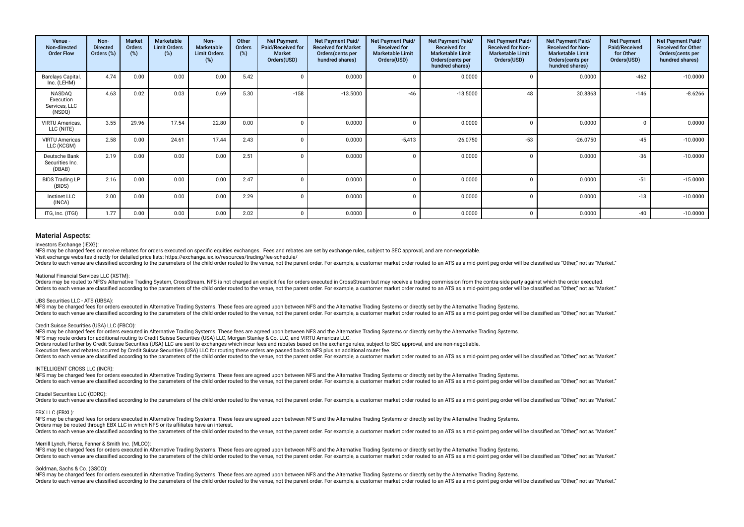| Venue -<br>Non-directed<br><b>Order Flow</b>   | Non-<br><b>Directed</b><br>Orders (%) | <b>Market</b><br>Orders<br>(%) | Marketable<br><b>Limit Orders</b><br>(%) | Non-<br>Marketable<br><b>Limit Orders</b><br>(%) | Other<br>Orders<br>(%) | <b>Net Payment</b><br>Paid/Received for<br>Market<br>Orders(USD) | <b>Net Payment Paid/</b><br><b>Received for Market</b><br>Orders(cents per<br>hundred shares) | Net Payment Paid/<br><b>Received for</b><br><b>Marketable Limit</b><br>Orders(USD) | Net Payment Paid/<br><b>Received for</b><br><b>Marketable Limit</b><br>Orders(cents per<br>hundred shares) | Net Payment Paid/<br><b>Received for Non-</b><br><b>Marketable Limit</b><br>Orders(USD) | Net Payment Paid/<br><b>Received for Non-</b><br><b>Marketable Limit</b><br>Orders(cents per<br>hundred shares) | <b>Net Payment</b><br>Paid/Received<br>for Other<br>Orders(USD) | Net Payment Paid/<br><b>Received for Other</b><br>Orders(cents per<br>hundred shares) |
|------------------------------------------------|---------------------------------------|--------------------------------|------------------------------------------|--------------------------------------------------|------------------------|------------------------------------------------------------------|-----------------------------------------------------------------------------------------------|------------------------------------------------------------------------------------|------------------------------------------------------------------------------------------------------------|-----------------------------------------------------------------------------------------|-----------------------------------------------------------------------------------------------------------------|-----------------------------------------------------------------|---------------------------------------------------------------------------------------|
| Barclays Capital,<br>Inc. (LEHM)               | 4.74                                  | 0.00                           | 0.00                                     | 0.00                                             | 5.42                   |                                                                  | 0.0000                                                                                        |                                                                                    | 0.0000                                                                                                     |                                                                                         | 0.0000                                                                                                          | $-462$                                                          | $-10.0000$                                                                            |
| NASDAQ<br>Execution<br>Services, LLC<br>(NSDQ) | 4.63                                  | 0.02                           | 0.03                                     | 0.69                                             | 5.30                   | $-158$                                                           | $-13.5000$                                                                                    | $-46$                                                                              | $-13.5000$                                                                                                 | 48                                                                                      | 30.8863                                                                                                         | $-146$                                                          | $-8.6266$                                                                             |
| VIRTU Americas,<br>LLC (NITE)                  | 3.55                                  | 29.96                          | 17.54                                    | 22.80                                            | 0.00                   |                                                                  | 0.0000                                                                                        |                                                                                    | 0.0000                                                                                                     |                                                                                         | 0.0000                                                                                                          |                                                                 | 0.0000                                                                                |
| <b>VIRTU Americas</b><br>LLC (KCGM)            | 2.58                                  | 0.00                           | 24.61                                    | 17.44                                            | 2.43                   |                                                                  | 0.0000                                                                                        | $-5,413$                                                                           | $-26.0750$                                                                                                 | $-53$                                                                                   | $-26.0750$                                                                                                      | $-45$                                                           | $-10.0000$                                                                            |
| Deutsche Bank<br>Securities Inc.<br>(DBAB)     | 2.19                                  | 0.00                           | 0.00                                     | 0.00                                             | 2.51                   |                                                                  | 0.0000                                                                                        | C                                                                                  | 0.0000                                                                                                     |                                                                                         | 0.0000                                                                                                          | $-36$                                                           | $-10.0000$                                                                            |
| <b>BIDS Trading LP</b><br>(BIDS)               | 2.16                                  | 0.00                           | 0.00                                     | 0.00                                             | 2.47                   |                                                                  | 0.0000                                                                                        |                                                                                    | 0.0000                                                                                                     |                                                                                         | 0.0000                                                                                                          | $-51$                                                           | $-15.0000$                                                                            |
| Instinet LLC<br>(INCA)                         | 2.00                                  | 0.00                           | 0.00                                     | 0.00                                             | 2.29                   |                                                                  | 0.0000                                                                                        |                                                                                    | 0.0000                                                                                                     |                                                                                         | 0.0000                                                                                                          | $-13$                                                           | $-10.0000$                                                                            |
| ITG, Inc. (ITGI)                               | 1.77                                  | 0.00                           | 0.00                                     | 0.00                                             | 2.02                   |                                                                  | 0.0000                                                                                        |                                                                                    | 0.0000                                                                                                     |                                                                                         | 0.0000                                                                                                          | $-40$                                                           | $-10.0000$                                                                            |

### Investors Exchange (IEXG):

NFS may be charged fees or receive rebates for orders executed on specific equities exchanges. Fees and rebates are set by exchange rules, subject to SEC approval, and are non-negotiable.

Visit exchange websites directly for detailed price lists: https://exchange.iex.io/resources/trading/fee-schedule/

Orders to each venue are classified according to the parameters of the child order routed to the venue, not the parent order. For example, a customer market order routed to an ATS as a mid-point peg order will be classifie

### National Financial Services LLC (XSTM):

Orders may be routed to NFS's Alternative Trading System, CrossStream. NFS is not charged an explicit fee for orders executed in CrossStream but may receive a trading commission from the contra-side party against which the Orders to each venue are classified according to the parameters of the child order routed to the venue, not the parent order. For example, a customer market order routed to an ATS as a mid-point peg order will be classifie

### UBS Securities LLC - ATS (UBSA):

NFS may be charged fees for orders executed in Alternative Trading Systems. These fees are agreed upon between NFS and the Alternative Trading Systems or directly set by the Alternative Trading Systems or directly set by t Orders to each venue are classified according to the parameters of the child order routed to the venue, not the parent order. For example, a customer market order routed to an ATS as a mid-point peg order will be classifie

### Credit Suisse Securities (USA) LLC (FBCO):

NFS may be charged fees for orders executed in Alternative Trading Systems. These fees are agreed upon between NFS and the Alternative Trading Systems or directly set by the Alternative Trading Systems.

NFS may route orders for additional routing to Credit Suisse Securities (USA) LLC, Morgan Stanley & Co. LLC, and VIRTU Americas LLC.

Orders routed further by Credit Suisse Securities (USA) LLC are sent to exchanges which incur fees and rebates based on the exchange rules, subject to SEC approval, and are non-negotiable.

Execution fees and rebates incurred by Credit Suisse Securities (USA) LLC for routing these orders are passed back to NFS plus an additional router fee.

Orders to each venue are classified according to the parameters of the child order routed to the venue, not the parent order. For example, a customer market order routed to an ATS as a mid-point peg order will be classifie

### INTELLIGENT CROSS LLC (INCR):

NFS may be charged fees for orders executed in Alternative Trading Systems. These fees are agreed upon between NFS and the Alternative Trading Systems or directly set by the Alternative Trading Systems. Orders to each venue are classified according to the parameters of the child order routed to the venue, not the parent order. For example, a customer market order routed to an ATS as a mid-point peg order will be classifie

### Citadel Securities LLC (CDRG):

Orders to each venue are classified according to the parameters of the child order routed to the venue, not the parent order. For example, a customer market order routed to an ATS as a mid-point peg order will be classifie

### EBX LLC (EBXL):

NFS may be charged fees for orders executed in Alternative Trading Systems. These fees are agreed upon between NFS and the Alternative Trading Systems or directly set by the Alternative Trading Systems or directly set by t Orders may be routed through EBX LLC in which NFS or its affiliates have an interest. Orders to each venue are classified according to the parameters of the child order routed to the venue, not the parent order. For example, a customer market order routed to an ATS as a mid-point peg order will be classifie

### Merrill Lynch, Pierce, Fenner & Smith Inc. (MLCO):

NFS may be charged fees for orders executed in Alternative Trading Systems. These fees are agreed upon between NFS and the Alternative Trading Systems or directly set by the Alternative Trading Systems. Orders to each venue are classified according to the parameters of the child order routed to the venue, not the parent order. For example, a customer market order routed to an ATS as a mid-point peg order will be classifie

### Goldman, Sachs & Co. (GSCO):

NFS may be charged fees for orders executed in Alternative Trading Systems. These fees are agreed upon between NFS and the Alternative Trading Systems or directly set by the Alternative Trading Systems or directly set by t Orders to each venue are classified according to the parameters of the child order routed to the venue, not the parent order. For example, a customer market order routed to an ATS as a mid-point peg order will be classifie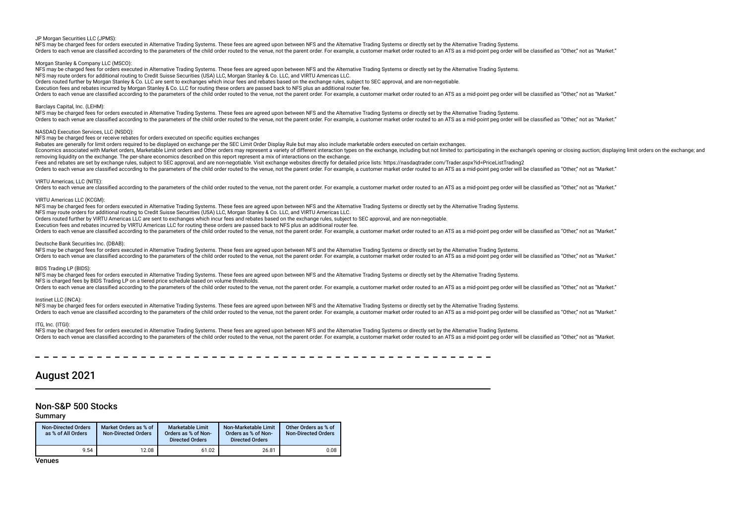### JP Morgan Securities LLC (JPMS):

NFS may be charged fees for orders executed in Alternative Trading Systems. These fees are agreed upon between NFS and the Alternative Trading Systems or directly set by the Alternative Trading Systems. Orders to each venue are classified according to the parameters of the child order routed to the venue, not the parent order. For example, a customer market order routed to an ATS as a mid-point peg order will be classifie

### Morgan Stanley & Company LLC (MSCO):

NFS may be charged fees for orders executed in Alternative Trading Systems. These fees are agreed upon between NFS and the Alternative Trading Systems or directly set by the Alternative Trading Systems. NFS may route orders for additional routing to Credit Suisse Securities (USA) LLC, Morgan Stanley & Co. LLC, and VIRTU Americas LLC. Orders routed further by Morgan Stanley & Co. LLC are sent to exchanges which incur fees and rebates based on the exchange rules, subject to SEC approval, and are non-negotiable. Execution fees and rebates incurred by Morgan Stanley & Co. LLC for routing these orders are passed back to NFS plus an additional router fee. Orders to each venue are classified according to the parameters of the child order routed to the venue, not the parent order. For example, a customer market order routed to an ATS as a mid-point peg order will be classifie

### Barclays Capital, Inc. (LEHM):

NFS may be charged fees for orders executed in Alternative Trading Systems. These fees are agreed upon between NFS and the Alternative Trading Systems or directly set by the Alternative Trading Systems. Orders to each venue are classified according to the parameters of the child order routed to the venue, not the parent order. For example, a customer market order routed to an ATS as a mid-point peg order will be classifie

### NASDAQ Execution Services, LLC (NSDQ):

NFS may be charged fees or receive rebates for orders executed on specifc equities exchanges

Rebates are generally for limit orders required to be displayed on exchange per the SEC Limit Order Display Rule but may also include marketable orders executed on certain exchanges.

Economics associated with Market orders, Marketable Limit orders and Other orders may represent a variety of different interaction types on the exchange, including but not limited to: participating in the exchange's openin removing liquidity on the exchange. The per-share economics described on this report represent a mix of interactions on the exchange.

Fees and rebates are set by exchange rules, subject to SEC approval, and are non-negotiable. Visit exchange websites directly for detailed price lists: https://nasdaqtrader.com/Trader.aspx?id=PriceListTrading2

Orders to each venue are classified according to the parameters of the child order routed to the venue, not the parent order. For example, a customer market order routed to an ATS as a mid-point peg order will be classifie

### VIRTU Americas, LLC (NITE):

Orders to each venue are classified according to the parameters of the child order routed to the venue, not the parent order. For example, a customer market order routed to an ATS as a mid-point peg order will be classifie

### VIRTU Americas LLC (KCGM):

NFS may be charged fees for orders executed in Alternative Trading Systems. These fees are agreed upon between NFS and the Alternative Trading Systems or directly set by the Alternative Trading Systems.

NFS may route orders for additional routing to Credit Suisse Securities (USA) LLC, Morgan Stanley & Co. LLC, and VIRTU Americas LLC.

Orders routed further by VIRTU Americas LLC are sent to exchanges which incur fees and rebates based on the exchange rules, subject to SEC approval, and are non-negotiable.

Execution fees and rebates incurred by VIRTU Americas LLC for routing these orders are passed back to NFS plus an additional router fee.

Orders to each venue are classified according to the parameters of the child order routed to the venue, not the parent order. For example, a customer market order routed to an ATS as a mid-point peg order will be classifie

### Deutsche Bank Securities Inc. (DBAB):

NFS may be charged fees for orders executed in Alternative Trading Systems. These fees are agreed upon between NFS and the Alternative Trading Systems or directly set by the Alternative Trading Systems or directly set by t Orders to each venue are classified according to the parameters of the child order routed to the venue, not the parent order. For example, a customer market order routed to an ATS as a mid-point peg order will be classifie

### BIDS Trading LP (BIDS):

NFS may be charged fees for orders executed in Alternative Trading Systems. These fees are agreed upon between NFS and the Alternative Trading Systems or directly set by the Alternative Trading Systems. NFS is charged fees by BIDS Trading LP on a tiered price schedule based on volume thresholds. Orders to each venue are classified according to the parameters of the child order routed to the venue, not the parent order. For example, a customer market order routed to an ATS as a mid-point peg order will be classifie

### Instinet LLC (INCA):

NFS may be charged fees for orders executed in Alternative Trading Systems. These fees are agreed upon between NFS and the Alternative Trading Systems or directly set by the Alternative Trading Systems. Orders to each venue are classified according to the parameters of the child order routed to the venue, not the parent order. For example, a customer market order routed to an ATS as a mid-point peg order will be classifie

### ITG, Inc. (ITGI):

NFS may be charged fees for orders executed in Alternative Trading Systems. These fees are agreed upon between NFS and the Alternative Trading Systems or directly set by the Alternative Trading Systems or directly set by t Orders to each venue are classified according to the parameters of the child order routed to the venue, not the parent order. For example, a customer market order routed to an ATS as a mid-point peg order will be classifie

# August 2021

### Non-S&P 500 Stocks

Summary

| <b>Non-Directed Orders</b><br>as % of All Orders | Market Orders as % of<br><b>Non-Directed Orders</b> | <b>Marketable Limit</b><br>Orders as % of Non-<br><b>Directed Orders</b> | Non-Marketable Limit<br>Orders as % of Non-<br><b>Directed Orders</b> | Other Orders as % of<br><b>Non-Directed Orders</b> |
|--------------------------------------------------|-----------------------------------------------------|--------------------------------------------------------------------------|-----------------------------------------------------------------------|----------------------------------------------------|
| 9.54                                             | 12.08                                               | 61.02                                                                    | 26.81                                                                 | 0.08                                               |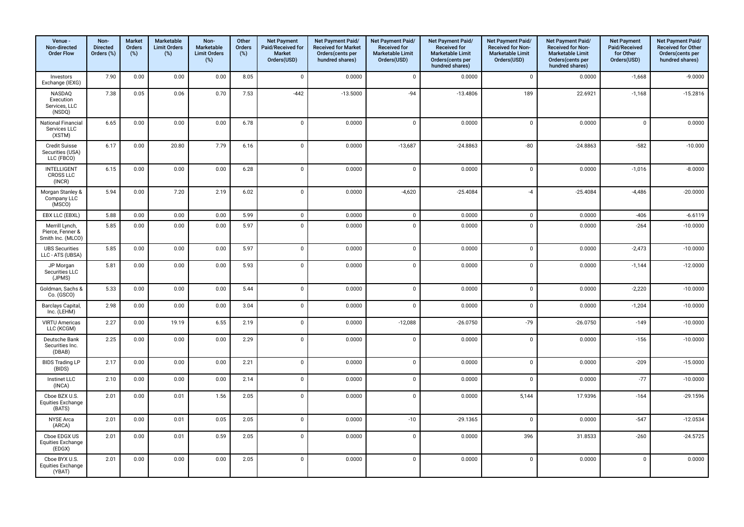| Venue -<br>Non-directed<br><b>Order Flow</b>            | Non-<br><b>Directed</b><br>Orders (%) | <b>Market</b><br>Orders<br>$(\%)$ | Marketable<br><b>Limit Orders</b><br>$(\%)$ | Non-<br>Marketable<br><b>Limit Orders</b><br>$(\%)$ | Other<br>Orders<br>(%) | <b>Net Payment</b><br>Paid/Received for<br><b>Market</b><br>Orders(USD) | Net Payment Paid/<br><b>Received for Market</b><br>Orders(cents per<br>hundred shares) | Net Payment Paid/<br><b>Received for</b><br><b>Marketable Limit</b><br>Orders(USD) | Net Payment Paid/<br><b>Received for</b><br><b>Marketable Limit</b><br>Orders(cents per<br>hundred shares) | Net Payment Paid/<br>Received for Non-<br><b>Marketable Limit</b><br>Orders(USD) | Net Payment Paid/<br>Received for Non-<br><b>Marketable Limit</b><br>Orders(cents per<br>hundred shares) | <b>Net Payment</b><br>Paid/Received<br>for Other<br>Orders(USD) | Net Payment Paid/<br><b>Received for Other</b><br>Orders(cents per<br>hundred shares) |
|---------------------------------------------------------|---------------------------------------|-----------------------------------|---------------------------------------------|-----------------------------------------------------|------------------------|-------------------------------------------------------------------------|----------------------------------------------------------------------------------------|------------------------------------------------------------------------------------|------------------------------------------------------------------------------------------------------------|----------------------------------------------------------------------------------|----------------------------------------------------------------------------------------------------------|-----------------------------------------------------------------|---------------------------------------------------------------------------------------|
| Investors<br>Exchange (IEXG)                            | 7.90                                  | 0.00                              | 0.00                                        | 0.00                                                | 8.05                   | $\mathbf 0$                                                             | 0.0000                                                                                 | $\mathbf 0$                                                                        | 0.0000                                                                                                     | $\mathbf 0$                                                                      | 0.0000                                                                                                   | $-1,668$                                                        | $-9.0000$                                                                             |
| NASDAQ<br>Execution<br>Services, LLC<br>(NSDQ)          | 7.38                                  | 0.05                              | 0.06                                        | 0.70                                                | 7.53                   | $-442$                                                                  | $-13.5000$                                                                             | $-94$                                                                              | $-13.4806$                                                                                                 | 189                                                                              | 22.6921                                                                                                  | $-1,168$                                                        | $-15.2816$                                                                            |
| National Financial<br>Services LLC<br>(XSTM)            | 6.65                                  | 0.00                              | 0.00                                        | 0.00                                                | 6.78                   | $\mathbf 0$                                                             | 0.0000                                                                                 | $\mathsf 0$                                                                        | 0.0000                                                                                                     | $\mathsf 0$                                                                      | 0.0000                                                                                                   | $\mathbf 0$                                                     | 0.0000                                                                                |
| Credit Suisse<br>Securities (USA)<br>LLC (FBCO)         | 6.17                                  | 0.00                              | 20.80                                       | 7.79                                                | 6.16                   | $\mathbf 0$                                                             | 0.0000                                                                                 | $-13,687$                                                                          | $-24.8863$                                                                                                 | $-80$                                                                            | $-24.8863$                                                                                               | $-582$                                                          | $-10.000$                                                                             |
| <b>INTELLIGENT</b><br>CROSS LLC<br>(INCR)               | 6.15                                  | 0.00                              | 0.00                                        | 0.00                                                | 6.28                   | $\mathbf 0$                                                             | 0.0000                                                                                 | $\mathbf 0$                                                                        | 0.0000                                                                                                     | $\mathsf 0$                                                                      | 0.0000                                                                                                   | $-1,016$                                                        | $-8.0000$                                                                             |
| Morgan Stanley &<br>Company LLC<br>(MSCO)               | 5.94                                  | 0.00                              | 7.20                                        | 2.19                                                | 6.02                   | $\mathbf 0$                                                             | 0.0000                                                                                 | $-4,620$                                                                           | $-25.4084$                                                                                                 | $-4$                                                                             | $-25.4084$                                                                                               | $-4,486$                                                        | $-20.0000$                                                                            |
| EBX LLC (EBXL)                                          | 5.88                                  | 0.00                              | 0.00                                        | 0.00                                                | 5.99                   | $\mathbf 0$                                                             | 0.0000                                                                                 | $\mathsf 0$                                                                        | 0.0000                                                                                                     | $\mathbf 0$                                                                      | 0.0000                                                                                                   | $-406$                                                          | $-6.6119$                                                                             |
| Merrill Lynch,<br>Pierce, Fenner &<br>Smith Inc. (MLCO) | 5.85                                  | 0.00                              | 0.00                                        | 0.00                                                | 5.97                   | $\mathbf 0$                                                             | 0.0000                                                                                 | $\mathsf 0$                                                                        | 0.0000                                                                                                     | $\mathbf 0$                                                                      | 0.0000                                                                                                   | $-264$                                                          | $-10.0000$                                                                            |
| <b>UBS Securities</b><br>LLC - ATS (UBSA)               | 5.85                                  | 0.00                              | 0.00                                        | 0.00                                                | 5.97                   | $\mathsf 0$                                                             | 0.0000                                                                                 | $\mathbf 0$                                                                        | 0.0000                                                                                                     | $\mathsf 0$                                                                      | 0.0000                                                                                                   | $-2,473$                                                        | $-10.0000$                                                                            |
| JP Morgan<br>Securities LLC<br>(JPMS)                   | 5.81                                  | 0.00                              | 0.00                                        | 0.00                                                | 5.93                   | $\mathbf 0$                                                             | 0.0000                                                                                 | $\mathsf 0$                                                                        | 0.0000                                                                                                     | $\mathbf 0$                                                                      | 0.0000                                                                                                   | $-1,144$                                                        | $-12.0000$                                                                            |
| Goldman, Sachs &<br>Co. (GSCO)                          | 5.33                                  | 0.00                              | 0.00                                        | 0.00                                                | 5.44                   | $\mathbf 0$                                                             | 0.0000                                                                                 | $\mathsf 0$                                                                        | 0.0000                                                                                                     | $\mathbf 0$                                                                      | 0.0000                                                                                                   | $-2,220$                                                        | $-10.0000$                                                                            |
| Barclays Capital,<br>Inc. (LEHM)                        | 2.98                                  | 0.00                              | 0.00                                        | 0.00                                                | 3.04                   | $\mathbf 0$                                                             | 0.0000                                                                                 | $\mathbf 0$                                                                        | 0.0000                                                                                                     | $\mathbf 0$                                                                      | 0.0000                                                                                                   | $-1,204$                                                        | $-10.0000$                                                                            |
| <b>VIRTU Americas</b><br>LLC (KCGM)                     | 2.27                                  | 0.00                              | 19.19                                       | 6.55                                                | 2.19                   | $\mathsf 0$                                                             | 0.0000                                                                                 | $-12,088$                                                                          | $-26.0750$                                                                                                 | $-79$                                                                            | $-26.0750$                                                                                               | $-149$                                                          | $-10.0000$                                                                            |
| Deutsche Bank<br>Securities Inc.<br>(DBAB)              | 2.25                                  | 0.00                              | 0.00                                        | 0.00                                                | 2.29                   | $\mathbf 0$                                                             | 0.0000                                                                                 | $\mathsf 0$                                                                        | 0.0000                                                                                                     | $\mathbf 0$                                                                      | 0.0000                                                                                                   | $-156$                                                          | $-10.0000$                                                                            |
| <b>BIDS Trading LP</b><br>(BIDS)                        | 2.17                                  | 0.00                              | 0.00                                        | 0.00                                                | 2.21                   | $\mathbf 0$                                                             | 0.0000                                                                                 | $\mathsf 0$                                                                        | 0.0000                                                                                                     | $\mathbf 0$                                                                      | 0.0000                                                                                                   | $-209$                                                          | $-15.0000$                                                                            |
| Instinet LLC<br>(INCA)                                  | 2.10                                  | 0.00                              | 0.00                                        | 0.00                                                | 2.14                   | $\mathbf 0$                                                             | 0.0000                                                                                 | $\mathbf 0$                                                                        | 0.0000                                                                                                     | $\mathbf 0$                                                                      | 0.0000                                                                                                   | $-77$                                                           | $-10.0000$                                                                            |
| Cboe BZX U.S.<br>Equities Exchange<br>(BATS)            | 2.01                                  | 0.00                              | 0.01                                        | 1.56                                                | 2.05                   | $\mathbf 0$                                                             | 0.0000                                                                                 | $\mathsf 0$                                                                        | 0.0000                                                                                                     | 5,144                                                                            | 17.9396                                                                                                  | $-164$                                                          | $-29.1596$                                                                            |
| NYSE Arca<br>(ARCA)                                     | 2.01                                  | 0.00                              | 0.01                                        | 0.05                                                | 2.05                   | $\mathbf 0$                                                             | 0.0000                                                                                 | $-10$                                                                              | $-29.1365$                                                                                                 | $\mathsf 0$                                                                      | 0.0000                                                                                                   | $-547$                                                          | $-12.0534$                                                                            |
| Cboe EDGX US<br><b>Equities Exchange</b><br>(EDGX)      | 2.01                                  | 0.00                              | 0.01                                        | 0.59                                                | 2.05                   | $\mathbf 0$                                                             | 0.0000                                                                                 | $\mathsf 0$                                                                        | 0.0000                                                                                                     | 396                                                                              | 31.8533                                                                                                  | $-260$                                                          | $-24.5725$                                                                            |
| Cboe BYX U.S.<br><b>Equities Exchange</b><br>(YBAT)     | 2.01                                  | 0.00                              | 0.00                                        | 0.00                                                | 2.05                   | $\mathbf{0}$                                                            | 0.0000                                                                                 | $\mathbf 0$                                                                        | 0.0000                                                                                                     | $\mathbf{0}$                                                                     | 0.0000                                                                                                   | $\mathbf 0$                                                     | 0.0000                                                                                |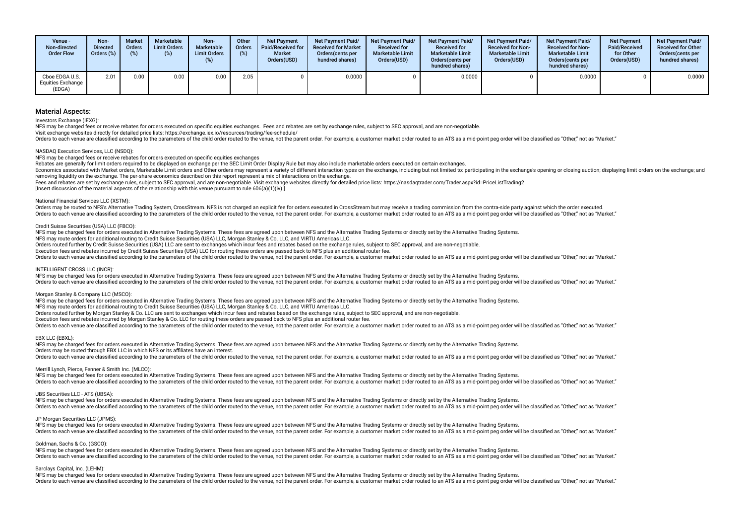| Venue -<br>Non-directed<br><b>Order Flow</b>  | Non-<br><b>Directed</b><br>Orders $(\%)$ | <b>Market</b><br><b>Orders</b><br>(%) | Marketable<br><b>Limit Orders</b><br>(%) | Non-<br><b>Marketable</b><br><b>Limit Orders</b><br>(%) | Other<br><b>Orders</b><br>(%) | <b>Net Payment</b><br>Paid/Received for<br>Market<br>Orders(USD) | <b>Net Payment Paid/</b><br><b>Received for Market</b><br>Orders (cents per<br>hundred shares) | <b>Net Payment Paid/</b><br><b>Received for</b><br><b>Marketable Limit</b><br>Orders(USD) | <b>Net Payment Paid/</b><br><b>Received for</b><br><b>Marketable Limit</b><br>Orders(cents per<br>hundred shares) | <b>Net Payment Paid/</b><br><b>Received for Non-</b><br><b>Marketable Limit</b><br>Orders(USD) | <b>Net Payment Paid/</b><br><b>Received for Non-</b><br><b>Marketable Limit</b><br>Orders(cents per<br>hundred shares) | <b>Net Payment</b><br>Paid/Received<br>for Other<br>Orders(USD) | <b>Net Payment Paid/</b><br><b>Received for Other</b><br>Orders(cents per<br>hundred shares) |
|-----------------------------------------------|------------------------------------------|---------------------------------------|------------------------------------------|---------------------------------------------------------|-------------------------------|------------------------------------------------------------------|------------------------------------------------------------------------------------------------|-------------------------------------------------------------------------------------------|-------------------------------------------------------------------------------------------------------------------|------------------------------------------------------------------------------------------------|------------------------------------------------------------------------------------------------------------------------|-----------------------------------------------------------------|----------------------------------------------------------------------------------------------|
| Cboe EDGA U.S.<br>Equities Exchange<br>(EDGA) | 2.01                                     | 0.00                                  | 0.00                                     | 0.00                                                    | 2.05                          |                                                                  | 0.0000                                                                                         |                                                                                           | 0.0000                                                                                                            |                                                                                                | 0.0000                                                                                                                 |                                                                 | 0.0000                                                                                       |

Investors Exchange (IEXG):

NFS may be charged fees or receive rebates for orders executed on specific equities exchanges. Fees and rebates are set by exchange rules, subject to SEC approval, and are non-negotiable.

Visit exchange websites directly for detailed price lists: https://exchange.iex.io/resources/trading/fee-schedule/

Orders to each venue are classified according to the parameters of the child order routed to the venue, not the parent order. For example, a customer market order routed to an ATS as a mid-point peg order will be classifie

### NASDAQ Execution Services, LLC (NSDQ):

NFS may be charged fees or receive rebates for orders executed on specifc equities exchanges

Rebates are generally for limit orders required to be displayed on exchange per the SEC Limit Order Display Rule but may also include marketable orders executed on certain exchanges.

Economics associated with Market orders, Marketable Limit orders and Other orders may represent a variety of different interaction types on the exchange, including but not limited to: participating in the exchange's openin removing liquidity on the exchange. The per-share economics described on this report represent a mix of interactions on the exchange.

Fees and rebates are set by exchange rules, subject to SEC approval, and are non-negotiable. Visit exchange websites directly for detailed price lists: https://nasdaqtrader.com/Trader.aspx?id=PriceListTrading2

 $[Insert discussion of the material aspects of the relationship with this yenue must not to rule 606(a)(1)(iv).]$ 

### National Financial Services LLC (XSTM):

Orders may be routed to NFS's Alternative Trading System, CrossStream, NFS is not charged an explicit fee for orders executed in CrossStream but may receive a trading commission from the contra-side party against which the Orders to each venue are classified according to the parameters of the child order routed to the venue, not the parent order. For example, a customer market order routed to an ATS as a mid-point peg order will be classifie

### Credit Suisse Securities (USA) LLC (FBCO):

NFS may be charged fees for orders executed in Alternative Trading Systems. These fees are agreed upon between NFS and the Alternative Trading Systems or directly set by the Alternative Trading Systems.

NFS may route orders for additional routing to Credit Suisse Securities (USA) LLC, Morgan Stanley & Co. LLC, and VIRTU Americas LLC.

Orders routed further by Credit Suisse Securities (USA) LLC are sent to exchanges which incur fees and rebates based on the exchange rules, subject to SEC approval, and are non-negotiable.

Execution fees and rebates incurred by Credit Suisse Securities (USA) LLC for routing these orders are passed back to NFS plus an additional router fee.

Orders to each venue are classified according to the parameters of the child order routed to the venue, not the parent order. For example, a customer market order routed to an ATS as a mid-point peg order will be classifie

### INTELLIGENT CROSS LLC (INCR):

NFS may be charged fees for orders executed in Alternative Trading Systems. These fees are agreed upon between NFS and the Alternative Trading Systems or directly set by the Alternative Trading Systems or directly set by t Orders to each venue are classified according to the parameters of the child order routed to the venue, not the parent order. For example, a customer market order routed to an ATS as a mid-point peg order will be classifie

### Morgan Stanley & Company LLC (MSCO):

NFS may be charged fees for orders executed in Alternative Trading Systems. These fees are agreed upon between NFS and the Alternative Trading Systems or directly set by the Alternative Trading Systems. NFS may route orders for additional routing to Credit Suisse Securities (USA) LLC, Morgan Stanley & Co. LLC, and VIRTU Americas LLC.

Orders routed further by Morgan Stanley & Co. LLC are sent to exchanges which incur fees and rebates based on the exchange rules, subject to SEC approval, and are non-negotiable.

Execution fees and rebates incurred by Morgan Stanley & Co. LLC for routing these orders are passed back to NFS plus an additional router fee.

Orders to each venue are classified according to the parameters of the child order routed to the venue, not the parent order. For example, a customer market order routed to an ATS as a mid-point peg order will be classifie

### EBX LLC (EBXL):

NFS may be charged fees for orders executed in Alternative Trading Systems. These fees are agreed upon between NFS and the Alternative Trading Systems or directly set by the Alternative Trading Systems. Orders may be routed through EBX LLC in which NFS or its afliates have an interest. Orders to each venue are classified according to the parameters of the child order routed to the venue, not the parent order. For example, a customer market order routed to an ATS as a mid-point peg order will be classifie

### Merrill Lynch, Pierce, Fenner & Smith Inc. (MLCO):

NFS may be charged fees for orders executed in Alternative Trading Systems. These fees are agreed upon between NFS and the Alternative Trading Systems or directly set by the Alternative Trading Systems. Orders to each venue are classified according to the parameters of the child order routed to the venue, not the parent order. For example, a customer market order routed to an ATS as a mid-point peg order will be classifie

### UBS Securities LLC - ATS (UBSA):

NFS may be charged fees for orders executed in Alternative Trading Systems. These fees are agreed upon between NFS and the Alternative Trading Systems or directly set by the Alternative Trading Systems. Orders to each venue are classified according to the parameters of the child order routed to the venue, not the parent order. For example, a customer market order routed to an ATS as a mid-point peg order will be classifie

### JP Morgan Securities LLC (JPMS):

NFS may be charged fees for orders executed in Alternative Trading Systems. These fees are agreed upon between NFS and the Alternative Trading Systems or directly set by the Alternative Trading Systems or directly set by t Orders to each venue are classified according to the parameters of the child order routed to the venue, not the parent order. For example, a customer market order routed to an ATS as a mid-point peg order will be classifie

### Goldman, Sachs & Co. (GSCO):

NFS may be charged fees for orders executed in Alternative Trading Systems. These fees are agreed upon between NFS and the Alternative Trading Systems or directly set by the Alternative Trading Systems or directly set by t Orders to each venue are classified according to the parameters of the child order routed to the venue, not the parent order. For example, a customer market order routed to an ATS as a mid-point peg order will be classifie

### Barclays Capital, Inc. (LEHM):

NFS may be charged fees for orders executed in Alternative Trading Systems. These fees are agreed upon between NFS and the Alternative Trading Systems or directly set by the Alternative Trading Systems or directly set by t Orders to each venue are classified according to the parameters of the child order routed to the venue, not the parent order. For example, a customer market order routed to an ATS as a mid-point peg order will be classifie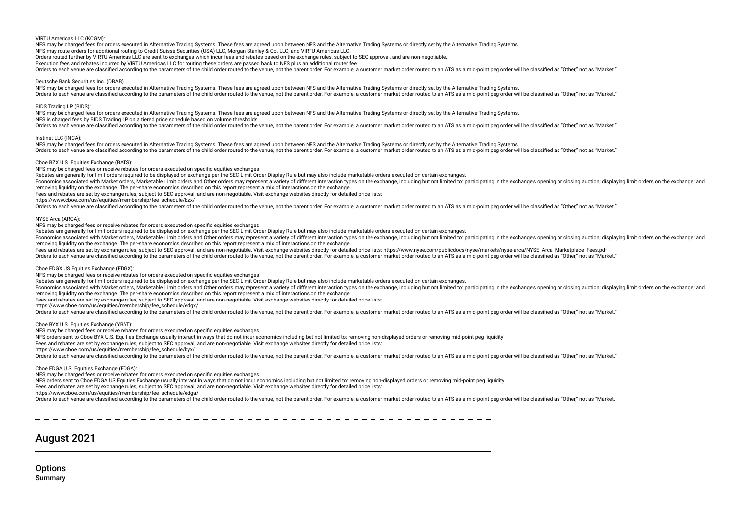VIRTU Americas LLC (KCGM):

NFS may be charged fees for orders executed in Alternative Trading Systems. These fees are agreed upon between NFS and the Alternative Trading Systems or directly set by the Alternative Trading Systems.

NFS may route orders for additional routing to Credit Suisse Securities (USA) LLC, Morgan Stanley & Co. LLC, and VIRTU Americas LLC.

Orders routed further by VIRTU Americas LLC are sent to exchanges which incur fees and rebates based on the exchange rules, subject to SEC approval, and are non-negotiable.

Execution fees and rebates incurred by VIRTU Americas LLC for routing these orders are passed back to NFS plus an additional router fee.

Orders to each venue are classified according to the parameters of the child order routed to the venue, not the parent order. For example, a customer market order routed to an ATS as a mid-point peg order will be classifie

Deutsche Bank Securities Inc. (DBAB):

NFS may be charged fees for orders executed in Alternative Trading Systems. These fees are agreed upon between NFS and the Alternative Trading Systems or directly set by the Alternative Trading Systems. Orders to each venue are classified according to the parameters of the child order routed to the venue, not the parent order. For example, a customer market order routed to an ATS as a mid-point peg order will be classifie

BIDS Trading LP (BIDS):

NFS may be charged fees for orders executed in Alternative Trading Systems. These fees are agreed upon between NFS and the Alternative Trading Systems or directly set by the Alternative Trading Systems.

NFS is charged fees by BIDS Trading LP on a tiered price schedule based on volume thresholds.

Orders to each venue are classified according to the parameters of the child order routed to the venue, not the parent order. For example, a customer market order routed to an ATS as a mid-point peg order will be classifie

Instinet LLC (INCA):

NFS may be charged fees for orders executed in Alternative Trading Systems. These fees are agreed upon between NFS and the Alternative Trading Systems or directly set by the Alternative Trading Systems. Orders to each venue are classified according to the parameters of the child order routed to the venue, not the parent order. For example, a customer market order routed to an ATS as a mid-point peg order will be classifie

### Cboe BZX U.S. Equities Exchange (BATS):

NFS may be charged fees or receive rebates for orders executed on specifc equities exchanges

Rebates are generally for limit orders required to be displayed on exchange per the SEC Limit Order Display Rule but may also include marketable orders executed on certain exchanges.

Economics associated with Market orders. Marketable Limit orders and Other orders may represent a variety of different interaction types on the exchange, including but not limited to: participating in the exchange's openin removing liquidity on the exchange. The per-share economics described on this report represent a mix of interactions on the exchange.

Fees and rebates are set by exchange rules, subject to SEC approval, and are non-negotiable. Visit exchange websites directly for detailed price lists:

https://www.cboe.com/us/equities/membership/fee\_schedule/bzx/

Orders to each venue are classified according to the parameters of the child order routed to the venue, not the parent order. For example, a customer market order routed to an ATS as a mid-point peg order will be classifie

NYSE Arca (ARCA):

NFS may be charged fees or receive rebates for orders executed on specifc equities exchanges

Rebates are generally for limit orders required to be displayed on exchange per the SEC Limit Order Display Rule but may also include marketable orders executed on certain exchanges.

Economics associated with Market orders, Marketable Limit orders and Other orders may represent a variety of different interaction types on the exchange, including but not limited to: participating in the exchange's openin removing liquidity on the exchange. The per-share economics described on this report represent a mix of interactions on the exchange.

Fees and rebates are set by exchange rules, subject to SEC approval, and are non-negotiable. Visit exchange websites directly for detailed price lists: https://www.nyse.com/publicdocs/nyse/markets/nyse-arca/NYSE\_Arca\_Marke

Orders to each venue are classified according to the parameters of the child order routed to the venue, not the parent order. For example, a customer market order routed to an ATS as a mid-point peg order will be classifie

### Cboe EDGX US Equities Exchange (EDGX):

NFS may be charged fees or receive rebates for orders executed on specifc equities exchanges

Rebates are generally for limit orders required to be displayed on exchange per the SEC Limit Order Display Rule but may also include marketable orders executed on certain exchanges.

Economics associated with Market orders, Marketable Limit orders and Other orders may represent a variety of different interaction types on the exchange, including but not limited to: participating in the exchange's openin removing liquidity on the exchange. The per-share economics described on this report represent a mix of interactions on the exchange.

Fees and rebates are set by exchange rules, subject to SEC approval, and are non-negotiable. Visit exchange websites directly for detailed price lists:

https://www.cboe.com/us/equities/membership/fee\_schedule/edgx/

Orders to each venue are classified according to the parameters of the child order routed to the venue, not the parent order. For example, a customer market order routed to an ATS as a mid-point peg order will be classifie

Cboe BYX U.S. Equities Exchange (YBAT):

NFS may be charged fees or receive rebates for orders executed on specifc equities exchanges

NFS orders sent to Cboe BYX U.S. Equities Exchange usually interact in ways that do not incur economics including but not limited to: removing non-displayed orders or removing mid-point peg liquidity

Fees and rebates are set by exchange rules, subject to SEC approval, and are non-negotiable. Visit exchange websites directly for detailed price lists:

https://www.cboe.com/us/equities/membership/fee\_schedule/byx/

Orders to each venue are classified according to the parameters of the child order routed to the venue, not the parent order. For example, a customer market order routed to an ATS as a mid-point peg order will be classifie

Cboe EDGA U.S. Equities Exchange (EDGA):

NFS may be charged fees or receive rebates for orders executed on specifc equities exchanges

NFS orders sent to Cboe EDGA US Equities Exchange usually interact in ways that do not incur economics including but not limited to: removing non-displayed orders or removing mid-point peg liquidity

Fees and rebates are set by exchange rules, subject to SEC approval, and are non-negotiable. Visit exchange websites directly for detailed price lists:

https://www.cboe.com/us/equities/membership/fee\_schedule/edga/

Orders to each venue are classified according to the parameters of the child order routed to the venue, not the parent order. For example, a customer market order routed to an ATS as a mid-point peg order will be classifie

## August 2021

**Options** Summary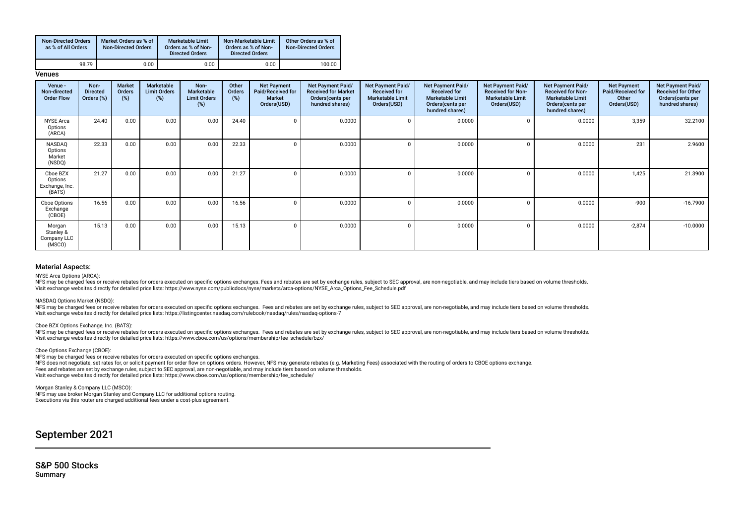| <b>Non-Directed Orders</b><br>as % of All Orders | Market Orders as % of<br><b>Non-Directed Orders</b> | <b>Marketable Limit</b><br>Orders as % of Non-<br><b>Directed Orders</b> | Non-Marketable Limit<br>Orders as % of Non-<br><b>Directed Orders</b> | Other Orders as % of<br><b>Non-Directed Orders</b> |
|--------------------------------------------------|-----------------------------------------------------|--------------------------------------------------------------------------|-----------------------------------------------------------------------|----------------------------------------------------|
| 98.79                                            | 0.00                                                | 0.00                                                                     | 0.00                                                                  | 100.00                                             |

**Venues** 

| Venue -<br>Non-directed<br><b>Order Flow</b>    | Non-<br><b>Directed</b><br>Orders (%) | <b>Market</b><br><b>Orders</b><br>$(\%)$ | Marketable<br><b>Limit Orders</b><br>(%) | Non-<br><b>Marketable</b><br><b>Limit Orders</b><br>(%) | Other<br>Orders<br>$(\%)$ | <b>Net Payment</b><br>Paid/Received for<br><b>Market</b><br>Orders(USD) | Net Payment Paid/<br><b>Received for Market</b><br>Orders(cents per<br>hundred shares) | Net Payment Paid/<br><b>Received for</b><br><b>Marketable Limit</b><br>Orders(USD) | Net Payment Paid/<br><b>Received for</b><br><b>Marketable Limit</b><br>Orders(cents per<br>hundred shares) | <b>Net Payment Paid/</b><br><b>Received for Non-</b><br><b>Marketable Limit</b><br>Orders(USD) | Net Payment Paid/<br><b>Received for Non-</b><br><b>Marketable Limit</b><br>Orders (cents per<br>hundred shares) | <b>Net Payment</b><br>Paid/Received for<br>Other<br>Orders(USD) | Net Payment Paid/<br><b>Received for Other</b><br>Orders (cents per<br>hundred shares) |
|-------------------------------------------------|---------------------------------------|------------------------------------------|------------------------------------------|---------------------------------------------------------|---------------------------|-------------------------------------------------------------------------|----------------------------------------------------------------------------------------|------------------------------------------------------------------------------------|------------------------------------------------------------------------------------------------------------|------------------------------------------------------------------------------------------------|------------------------------------------------------------------------------------------------------------------|-----------------------------------------------------------------|----------------------------------------------------------------------------------------|
| <b>NYSE Arca</b><br>Options<br>(ARCA)           | 24.40                                 | 0.00                                     | 0.00                                     | 0.00                                                    | 24.40                     | $\Omega$                                                                | 0.0000                                                                                 |                                                                                    | 0.0000                                                                                                     |                                                                                                | 0.0000                                                                                                           | 3,359                                                           | 32.2100                                                                                |
| NASDAQ<br>Options<br>Market<br>(NSDQ)           | 22.33                                 | 0.00                                     | 0.00                                     | 0.00                                                    | 22.33                     |                                                                         | 0.0000                                                                                 |                                                                                    | 0.0000                                                                                                     |                                                                                                | 0.0000                                                                                                           | 231                                                             | 2.9600                                                                                 |
| Cboe BZX<br>Options<br>Exchange, Inc.<br>(BATS) | 21.27                                 | 0.00                                     | 0.00                                     | 0.00                                                    | 21.27                     | <sup>0</sup>                                                            | 0.0000                                                                                 |                                                                                    | 0.0000                                                                                                     |                                                                                                | 0.0000                                                                                                           | 1,425                                                           | 21.3900                                                                                |
| Cboe Options<br>Exchange<br>(CBOE)              | 16.56                                 | 0.00                                     | 0.00                                     | 0.00                                                    | 16.56                     |                                                                         | 0.0000                                                                                 |                                                                                    | 0.0000                                                                                                     |                                                                                                | 0.0000                                                                                                           | $-900$                                                          | $-16.7900$                                                                             |
| Morgan<br>Stanley &<br>Company LLC<br>(MSCO)    | 15.13                                 | 0.00                                     | 0.00                                     | 0.00                                                    | 15.13                     | $\Omega$                                                                | 0.0000                                                                                 |                                                                                    | 0.0000                                                                                                     |                                                                                                | 0.0000                                                                                                           | $-2,874$                                                        | $-10.0000$                                                                             |

### Material Aspects:

NYSE Arca Options (ARCA):

NFS may be charged fees or receive rebates for orders executed on specific options exchanges. Fees and rebates are set by exchange rules, subject to SEC approval, are non-negotiable, and may include tiers based on volume t Visit exchange websites directly for detailed price lists: https://www.nyse.com/publicdocs/nyse/markets/arca-options/NYSE\_Arca\_Options\_Fee\_Schedule.pdf

NASDAQ Options Market (NSDQ):

NFS may be charged fees or receive rebates for orders executed on specific options exchanges. Fees and rebates are set by exchange rules, subject to SEC approval, are non-negotiable, and may include tiers based on volume t Visit exchange websites directly for detailed price lists: https://listingcenter.nasdaq.com/rulebook/nasdaq/rules/nasdaq-options-7

### Cboe BZX Options Exchange, Inc. (BATS):

NFS may be charged fees or receive rebates for orders executed on specific options exchanges. Fees and rebates are set by exchange rules, subject to SEC approval, are non-negotiable, and may include tiers based on volume t Visit exchange websites directly for detailed price lists: https://www.cboe.com/us/options/membership/fee\_schedule/bzx/

### Cboe Options Exchange (CBOE):

NFS may be charged fees or receive rebates for orders executed on specifc options exchanges.

NFS does not negotiate, set rates for, or solicit payment for order fow on options orders. However, NFS may generate rebates (e.g. Marketing Fees) associated with the routing of orders to CBOE options exchange. Fees and rebates are set by exchange rules, subject to SEC approval, are non-negotiable, and may include tiers based on volume thresholds. Visit exchange websites directly for detailed price lists: https://www.cboe.com/us/options/membership/fee\_schedule/

Morgan Stanley & Company LLC (MSCO): NFS may use broker Morgan Stanley and Company LLC for additional options routing. Executions via this router are charged additional fees under a cost-plus agreement.

September 2021

S&P 500 Stocks Summary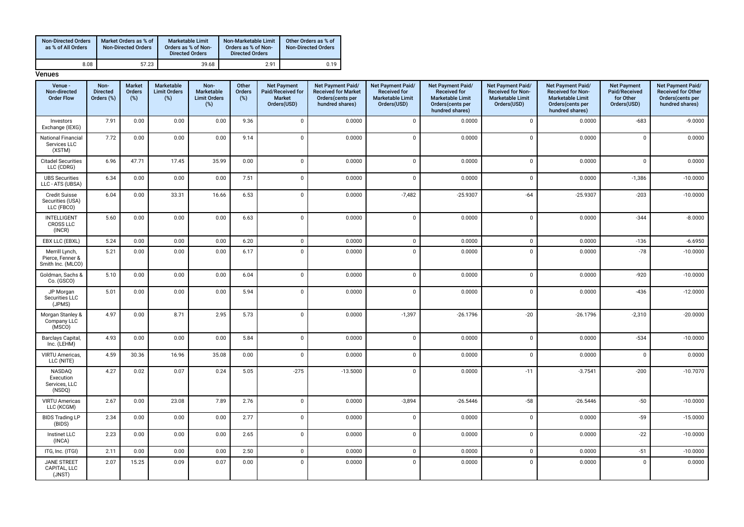| <b>Non-Directed Orders</b><br>as % of All Orders | Market Orders as % of<br><b>Non-Directed Orders</b> | <b>Marketable Limit</b><br>Orders as % of Non-<br><b>Directed Orders</b> | Non-Marketable Limit<br>Orders as % of Non-<br><b>Directed Orders</b> | Other Orders as % of<br><b>Non-Directed Orders</b> |
|--------------------------------------------------|-----------------------------------------------------|--------------------------------------------------------------------------|-----------------------------------------------------------------------|----------------------------------------------------|
| 8.08                                             | 57.23                                               | 39.68                                                                    | 2.91                                                                  | 0.19                                               |

| Venue -<br>Non-directed<br><b>Order Flow</b>            | Non-<br><b>Directed</b><br>Orders (%) | <b>Market</b><br>Orders<br>$(\%)$ | Marketable<br><b>Limit Orders</b><br>$(\%)$ | Non-<br>Marketable<br><b>Limit Orders</b><br>$(\%)$ | Other<br>Orders<br>$(\%)$ | <b>Net Payment</b><br>Paid/Received for<br><b>Market</b><br>Orders(USD) | Net Payment Paid/<br><b>Received for Market</b><br>Orders(cents per<br>hundred shares) | Net Payment Paid/<br><b>Received for</b><br><b>Marketable Limit</b><br>Orders(USD) | Net Payment Paid/<br><b>Received for</b><br><b>Marketable Limit</b><br>Orders(cents per<br>hundred shares) | Net Payment Paid/<br>Received for Non-<br>Marketable Limit<br>Orders(USD) | Net Payment Paid/<br><b>Received for Non-</b><br>Marketable Limit<br>Orders(cents per<br>hundred shares) | <b>Net Payment</b><br>Paid/Received<br>for Other<br>Orders(USD) | Net Payment Paid/<br><b>Received for Other</b><br>Orders(cents per<br>hundred shares) |
|---------------------------------------------------------|---------------------------------------|-----------------------------------|---------------------------------------------|-----------------------------------------------------|---------------------------|-------------------------------------------------------------------------|----------------------------------------------------------------------------------------|------------------------------------------------------------------------------------|------------------------------------------------------------------------------------------------------------|---------------------------------------------------------------------------|----------------------------------------------------------------------------------------------------------|-----------------------------------------------------------------|---------------------------------------------------------------------------------------|
| Investors<br>Exchange (IEXG)                            | 7.91                                  | 0.00                              | 0.00                                        | 0.00                                                | 9.36                      | $\mathsf 0$                                                             | 0.0000                                                                                 | $\mathbf 0$                                                                        | 0.0000                                                                                                     | $\mathsf 0$                                                               | 0.0000                                                                                                   | $-683$                                                          | $-9.0000$                                                                             |
| National Financial<br>Services LLC<br>(XSTM)            | 7.72                                  | 0.00                              | 0.00                                        | 0.00                                                | 9.14                      | $\mathbf{0}$                                                            | 0.0000                                                                                 | $\mathbf 0$                                                                        | 0.0000                                                                                                     | $\mathsf 0$                                                               | 0.0000                                                                                                   | $\mathbf{0}$                                                    | 0.0000                                                                                |
| <b>Citadel Securities</b><br>LLC (CDRG)                 | 6.96                                  | 47.71                             | 17.45                                       | 35.99                                               | 0.00                      | $\mathsf 0$                                                             | 0.0000                                                                                 | $\mathbf 0$                                                                        | 0.0000                                                                                                     | $\mathsf 0$                                                               | 0.0000                                                                                                   | $\mathbf 0$                                                     | 0.0000                                                                                |
| <b>UBS Securities</b><br>LLC - ATS (UBSA)               | 6.34                                  | 0.00                              | 0.00                                        | 0.00                                                | 7.51                      | $\mathsf 0$                                                             | 0.0000                                                                                 | $\mathbf 0$                                                                        | 0.0000                                                                                                     | $\mathbf 0$                                                               | 0.0000                                                                                                   | $-1,386$                                                        | $-10.0000$                                                                            |
| <b>Credit Suisse</b><br>Securities (USA)<br>LLC (FBCO)  | 6.04                                  | 0.00                              | 33.31                                       | 16.66                                               | 6.53                      | $\mathbf 0$                                                             | 0.0000                                                                                 | $-7,482$                                                                           | $-25.9307$                                                                                                 | $-64$                                                                     | $-25.9307$                                                                                               | $-203$                                                          | $-10.0000$                                                                            |
| <b>INTELLIGENT</b><br><b>CROSS LLC</b><br>(INCR)        | 5.60                                  | 0.00                              | 0.00                                        | 0.00                                                | 6.63                      | $\mathbf 0$                                                             | 0.0000                                                                                 | $\mathbf 0$                                                                        | 0.0000                                                                                                     | $\mathbf 0$                                                               | 0.0000                                                                                                   | $-344$                                                          | $-8.0000$                                                                             |
| EBX LLC (EBXL)                                          | 5.24                                  | 0.00                              | 0.00                                        | 0.00                                                | 6.20                      | $\mathsf 0$                                                             | 0.0000                                                                                 | $\mathbf{0}$                                                                       | 0.0000                                                                                                     | $\mathsf 0$                                                               | 0.0000                                                                                                   | $-136$                                                          | $-6.6950$                                                                             |
| Merrill Lynch,<br>Pierce, Fenner &<br>Smith Inc. (MLCO) | 5.21                                  | 0.00                              | 0.00                                        | 0.00                                                | 6.17                      | $\Omega$                                                                | 0.0000                                                                                 | $\Omega$                                                                           | 0.0000                                                                                                     | $\Omega$                                                                  | 0.0000                                                                                                   | $-78$                                                           | $-10.0000$                                                                            |
| Goldman, Sachs &<br>Co. (GSCO)                          | 5.10                                  | 0.00                              | 0.00                                        | 0.00                                                | 6.04                      | $\mathbf 0$                                                             | 0.0000                                                                                 | $\mathbf 0$                                                                        | 0.0000                                                                                                     | $\mathsf 0$                                                               | 0.0000                                                                                                   | $-920$                                                          | $-10.0000$                                                                            |
| JP Morgan<br>Securities LLC<br>(JPMS)                   | 5.01                                  | 0.00                              | 0.00                                        | 0.00                                                | 5.94                      | $\mathsf 0$                                                             | 0.0000                                                                                 | $\mathbf 0$                                                                        | 0.0000                                                                                                     | $\mathsf 0$                                                               | 0.0000                                                                                                   | $-436$                                                          | $-12.0000$                                                                            |
| Morgan Stanley &<br>Company LLC<br>(MSCO)               | 4.97                                  | 0.00                              | 8.71                                        | 2.95                                                | 5.73                      | $\mathsf 0$                                                             | 0.0000                                                                                 | $-1,397$                                                                           | $-26.1796$                                                                                                 | $-20$                                                                     | $-26.1796$                                                                                               | $-2,310$                                                        | $-20.0000$                                                                            |
| Barclays Capital,<br>Inc. (LEHM)                        | 4.93                                  | 0.00                              | 0.00                                        | 0.00                                                | 5.84                      | $\mathsf 0$                                                             | 0.0000                                                                                 | $\mathbf 0$                                                                        | 0.0000                                                                                                     | $\mathsf 0$                                                               | 0.0000                                                                                                   | $-534$                                                          | $-10.0000$                                                                            |
| VIRTU Americas,<br>LLC (NITE)                           | 4.59                                  | 30.36                             | 16.96                                       | 35.08                                               | 0.00                      | $\mathbf{0}$                                                            | 0.0000                                                                                 | $\mathbf 0$                                                                        | 0.0000                                                                                                     | $\mathsf 0$                                                               | 0.0000                                                                                                   | $\mathsf 0$                                                     | 0.0000                                                                                |
| NASDAQ<br>Execution<br>Services, LLC<br>(NSDQ)          | 4.27                                  | 0.02                              | 0.07                                        | 0.24                                                | 5.05                      | $-275$                                                                  | $-13.5000$                                                                             | $\mathbf 0$                                                                        | 0.0000                                                                                                     | $-11$                                                                     | $-3.7541$                                                                                                | $-200$                                                          | $-10.7070$                                                                            |
| <b>VIRTU Americas</b><br>LLC (KCGM)                     | 2.67                                  | 0.00                              | 23.08                                       | 7.89                                                | 2.76                      | $\mathsf 0$                                                             | 0.0000                                                                                 | $-3,894$                                                                           | $-26.5446$                                                                                                 | $\mbox{-}58$                                                              | $-26.5446$                                                                                               | $-50$                                                           | $-10.0000$                                                                            |
| <b>BIDS Trading LP</b><br>(BIDS)                        | 2.34                                  | 0.00                              | 0.00                                        | 0.00                                                | 2.77                      | $\mathsf 0$                                                             | 0.0000                                                                                 | $\mathbf 0$                                                                        | 0.0000                                                                                                     | $\mathsf 0$                                                               | 0.0000                                                                                                   | $-59$                                                           | $-15.0000$                                                                            |
| Instinet LLC<br>(INCA)                                  | 2.23                                  | 0.00                              | 0.00                                        | 0.00                                                | 2.65                      | $\mathbf 0$                                                             | 0.0000                                                                                 | $\mathbf{0}$                                                                       | 0.0000                                                                                                     | $\mathbf 0$                                                               | 0.0000                                                                                                   | $-22$                                                           | $-10.0000$                                                                            |
| ITG, Inc. (ITGI)                                        | 2.11                                  | 0.00                              | 0.00                                        | 0.00                                                | 2.50                      | $\mathbf 0$                                                             | 0.0000                                                                                 | $\mathbf 0$                                                                        | 0.0000                                                                                                     | $\mathsf 0$                                                               | 0.0000                                                                                                   | $-51$                                                           | $-10.0000$                                                                            |
| <b>JANE STREET</b><br>CAPITAL, LLC<br>(JNST)            | 2.07                                  | 15.25                             | 0.09                                        | 0.07                                                | 0.00                      | $\Omega$                                                                | 0.0000                                                                                 | $\mathbf{0}$                                                                       | 0.0000                                                                                                     | $\mathbf 0$                                                               | 0.0000                                                                                                   | $\Omega$                                                        | 0.0000                                                                                |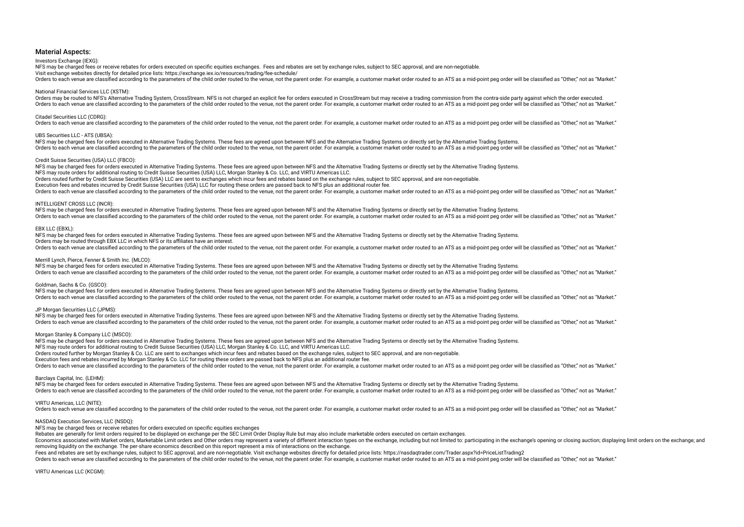### Investors Exchange (IEXG):

NFS may be charged fees or receive rebates for orders executed on specific equities exchanges. Fees and rebates are set by exchange rules, subject to SEC approval, and are non-negotiable.

Visit exchange websites directly for detailed price lists: https://exchange.iex.io/resources/trading/fee-schedule/

Orders to each venue are classified according to the parameters of the child order routed to the venue, not the parent order. For example, a customer market order routed to an ATS as a mid-point peg order will be classifie

### National Financial Services LLC (XSTM):

Orders may be routed to NFS's Alternative Trading System, CrossStream. NFS is not charged an explicit fee for orders executed in CrossStream but may receive a trading commission from the contra-side party against which the Orders to each venue are classified according to the parameters of the child order routed to the venue, not the parent order. For example, a customer market order routed to an ATS as a mid-point peg order will be classifie

### Citadel Securities LLC (CDRG):

Orders to each venue are classified according to the parameters of the child order routed to the venue, not the parent order. For example, a customer market order routed to an ATS as a mid-point peg order will be classifie

### UBS Securities LLC - ATS (UBSA):

NFS may be charged fees for orders executed in Alternative Trading Systems. These fees are agreed upon between NFS and the Alternative Trading Systems or directly set by the Alternative Trading Systems or directly set by t Orders to each venue are classified according to the parameters of the child order routed to the venue, not the parent order. For example, a customer market order routed to an ATS as a mid-point peg order will be classifie

### Credit Suisse Securities (USA) LLC (FBCO):

NFS may be charged fees for orders executed in Alternative Trading Systems. These fees are agreed upon between NFS and the Alternative Trading Systems or directly set by the Alternative Trading Systems or directly set by t NFS may route orders for additional routing to Credit Suisse Securities (USA) LLC, Morgan Stanley & Co. LLC, and VIRTU Americas LLC. Orders routed further by Credit Suisse Securities (USA) LLC are sent to exchanges which incur fees and rebates based on the exchange rules, subject to SEC approval, and are non-negotiable. Execution fees and rebates incurred by Credit Suisse Securities (USA) LLC for routing these orders are passed back to NFS plus an additional router fee. Orders to each venue are classified according to the parameters of the child order routed to the venue, not the parent order. For example, a customer market order routed to an ATS as a mid-point peg order will be classifie

### INTELLIGENT CROSS LLC (INCR):

NFS may be charged fees for orders executed in Alternative Trading Systems. These fees are agreed upon between NFS and the Alternative Trading Systems or directly set by the Alternative Trading Systems or directly set by t Orders to each venue are classified according to the parameters of the child order routed to the venue, not the parent order. For example, a customer market order routed to an ATS as a mid-point peg order will be classifie

### EBX LLC (EBXL):

NFS may be charged fees for orders executed in Alternative Trading Systems. These fees are agreed upon between NFS and the Alternative Trading Systems or directly set by the Alternative Trading Systems. Orders may be routed through EBX LLC in which NFS or its affiliates have an interest. Orders to each venue are classified according to the parameters of the child order routed to the venue, not the parent order. For example, a customer market order routed to an ATS as a mid-point peg order will be classifie

### Merrill Lynch, Pierce, Fenner & Smith Inc. (MLCO):

NFS may be charged fees for orders executed in Alternative Trading Systems. These fees are agreed upon between NFS and the Alternative Trading Systems or directly set by the Alternative Trading Systems or directly set by t Orders to each venue are classified according to the parameters of the child order routed to the venue, not the parent order. For example, a customer market order routed to an ATS as a mid-point peg order will be classifie

### Goldman, Sachs & Co. (GSCO):

NFS may be charged fees for orders executed in Alternative Trading Systems. These fees are agreed upon between NFS and the Alternative Trading Systems or directly set by the Alternative Trading Systems or directly set by t Orders to each venue are classified according to the parameters of the child order routed to the venue, not the parent order. For example, a customer market order routed to an ATS as a mid-point peg order will be classifie

### JP Morgan Securities LLC (JPMS):

NFS may be charged fees for orders executed in Alternative Trading Systems. These fees are agreed upon between NFS and the Alternative Trading Systems or directly set by the Alternative Trading Systems. The sach venue are classified according to the narameters of the child order routed to the yenue pot the parent order. For example a customer market order routed to an ATS as a mid-point peg order will be classified as "Ot

### Morgan Stanley & Company LLC (MSCO):

NFS may be charged fees for orders executed in Alternative Trading Systems. These fees are agreed upon between NFS and the Alternative Trading Systems or directly set by the Alternative Trading Systems or directly set by t NFS may route orders for additional routing to Credit Suisse Securities (USA) LLC, Morgan Stanley & Co. LLC, and VIRTU Americas LLC. Orders routed further by Morgan Stanley & Co. LLC are sent to exchanges which incur fees and rebates based on the exchange rules, subject to SEC approval, and are non-negotiable. Execution fees and rebates incurred by Morgan Stanley & Co. LLC for routing these orders are passed back to NFS plus an additional router fee. Orders to each venue are classified according to the parameters of the child order routed to the venue, not the parent order. For example, a customer market order routed to an ATS as a mid-point peg order will be classifie

### Barclays Capital, Inc. (LEHM):

NFS may be charged fees for orders executed in Alternative Trading Systems. These fees are agreed upon between NFS and the Alternative Trading Systems or directly set by the Alternative Trading Systems. Orders to each venue are classified according to the parameters of the child order routed to the venue, not the parent order. For example, a customer market order routed to an ATS as a mid-point peg order will be classifie

### VIRTU Americas, LLC (NITE):

Orders to each venue are classified according to the parameters of the child order routed to the venue, not the parent order. For example, a customer market order routed to an ATS as a mid-point peg order will be classifie

### NASDAQ Execution Services, LLC (NSDQ):

NFS may be charged fees or receive rebates for orders executed on specifc equities exchanges

Rebates are generally for limit orders required to be displayed on exchange per the SEC Limit Order Display Rule but may also include marketable orders executed on certain exchanges.

Economics associated with Market orders, Marketable Limit orders and Other orders may represent a variety of different interaction types on the exchange, including but not limited to: participating in the exchange's openin removing liquidity on the exchange. The per-share economics described on this report represent a mix of interactions on the exchange.

Fees and rebates are set by exchange rules, subject to SEC approval, and are non-negotiable. Visit exchange websites directly for detailed price lists: https://nasdaqtrader.com/Trader.aspx?id=PriceListTrading2

Orders to each venue are classified according to the parameters of the child order routed to the venue, not the parent order. For example, a customer market order routed to an ATS as a mid-point peg order will be classifie

VIRTU Americas LLC (KCGM):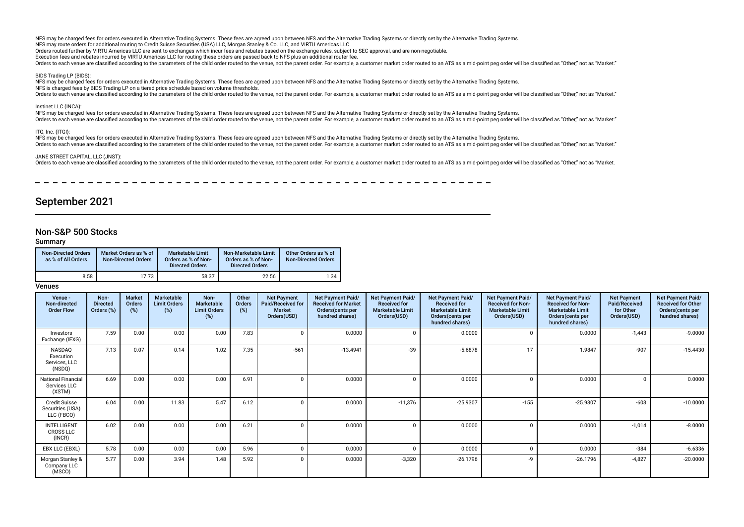Orders routed further by VIRTU Americas LLC are sent to exchanges which incur fees and rebates based on the exchange rules, subject to SEC approval, and are non-negotiable.

Execution fees and rebates incurred by VIRTU Americas LLC for routing these orders are passed back to NFS plus an additional router fee.

Orders to each venue are classified according to the parameters of the child order routed to the venue, not the parent order. For example, a customer market order routed to an ATS as a mid-point peg order will be classifie

BIDS Trading LP (BIDS):

NFS may be charged fees for orders executed in Alternative Trading Systems. These fees are agreed upon between NFS and the Alternative Trading Systems or directly set by the Alternative Trading Systems or directly set by t NFS is charged fees by BIDS Trading LP on a tiered price schedule based on volume thresholds.

Orders to each venue are classified according to the parameters of the child order routed to the venue, not the parent order. For example, a customer market order routed to an ATS as a mid-point peg order will be classifie

### Instinet LLC (INCA):

nexerce to the charged fees for orders executed in Alternative Trading Systems. These fees are agreed upon between NFS and the Alternative Trading Systems or directly set by the Alternative Trading Systems or directly set Orders to each venue are classified according to the parameters of the child order routed to the venue, not the parent order. For example, a customer market order routed to an ATS as a mid-point peg order will be classifie

### ITG, Inc. (ITGI):

NFS may be charged fees for orders executed in Alternative Trading Systems. These fees are agreed upon between NFS and the Alternative Trading Systems or directly set by the Alternative Trading Systems. Orders to each venue are classified according to the parameters of the child order routed to the venue, not the parent order. For example, a customer market order routed to an ATS as a mid-point peg order will be classifie

### JANE STREET CAPITAL, LLC (JNST):

orders to each venue are classified according to the parameters of the child order routed to the venue, not the parent order. For example, a customer market order routed to an ATS as a mid-point peg order will be classifie

## September 2021

## Non-S&P 500 Stocks

Summary

| <b>Non-Directed Orders</b><br>as % of All Orders | Market Orders as % of<br><b>Non-Directed Orders</b> | <b>Marketable Limit</b><br>Orders as % of Non-<br><b>Directed Orders</b> | Non-Marketable Limit<br>Orders as % of Non-<br><b>Directed Orders</b> | Other Orders as % of<br><b>Non-Directed Orders</b> |
|--------------------------------------------------|-----------------------------------------------------|--------------------------------------------------------------------------|-----------------------------------------------------------------------|----------------------------------------------------|
| 8.58                                             | 17.73                                               | 58.37                                                                    | 22.56                                                                 | 1.34                                               |

| Venue -<br>Non-directed<br><b>Order Flow</b>           | Non-<br><b>Directed</b><br>Orders (%) | <b>Market</b><br>Orders<br>(%) | Marketable<br><b>Limit Orders</b><br>(%) | Non-<br>Marketable<br><b>Limit Orders</b><br>(%) | Other<br>Orders<br>(%) | <b>Net Payment</b><br>Paid/Received for<br><b>Market</b><br>Orders(USD) | <b>Net Payment Paid/</b><br><b>Received for Market</b><br>Orders(cents per<br>hundred shares) | <b>Net Payment Paid/</b><br><b>Received for</b><br><b>Marketable Limit</b><br>Orders(USD) | Net Payment Paid/<br><b>Received for</b><br><b>Marketable Limit</b><br>Orders(cents per<br>hundred shares) | Net Payment Paid/<br><b>Received for Non-</b><br><b>Marketable Limit</b><br>Orders(USD) | <b>Net Payment Paid/</b><br><b>Received for Non-</b><br><b>Marketable Limit</b><br>Orders(cents per<br>hundred shares) | <b>Net Payment</b><br>Paid/Received<br>for Other<br>Orders(USD) | Net Payment Paid/<br><b>Received for Other</b><br>Orders (cents per<br>hundred shares) |
|--------------------------------------------------------|---------------------------------------|--------------------------------|------------------------------------------|--------------------------------------------------|------------------------|-------------------------------------------------------------------------|-----------------------------------------------------------------------------------------------|-------------------------------------------------------------------------------------------|------------------------------------------------------------------------------------------------------------|-----------------------------------------------------------------------------------------|------------------------------------------------------------------------------------------------------------------------|-----------------------------------------------------------------|----------------------------------------------------------------------------------------|
| Investors<br>Exchange (IEXG)                           | 7.59                                  | 0.00                           | 0.00                                     | 0.00                                             | 7.83                   |                                                                         | 0.0000                                                                                        |                                                                                           | 0.0000                                                                                                     |                                                                                         | 0.0000                                                                                                                 | $-1,443$                                                        | $-9.0000$                                                                              |
| NASDAQ<br>Execution<br>Services, LLC<br>(NSDQ)         | 7.13                                  | 0.07                           | 0.14                                     | 1.02                                             | 7.35                   | $-561$                                                                  | $-13.4941$                                                                                    | $-39$                                                                                     | $-5.6878$                                                                                                  | 17                                                                                      | 1.9847                                                                                                                 | $-907$                                                          | $-15.4430$                                                                             |
| <b>National Financial</b><br>Services LLC<br>(XSTM)    | 6.69                                  | 0.00                           | 0.00                                     | 0.00                                             | 6.91                   |                                                                         | 0.0000                                                                                        |                                                                                           | 0.0000                                                                                                     |                                                                                         | 0.0000                                                                                                                 | $\Omega$                                                        | 0.0000                                                                                 |
| <b>Credit Suisse</b><br>Securities (USA)<br>LLC (FBCO) | 6.04                                  | 0.00                           | 11.83                                    | 5.47                                             | 6.12                   |                                                                         | 0.0000                                                                                        | $-11,376$                                                                                 | $-25.9307$                                                                                                 | $-155$                                                                                  | $-25.9307$                                                                                                             | $-603$                                                          | $-10.0000$                                                                             |
| <b>INTELLIGENT</b><br><b>CROSS LLC</b><br>(INCR)       | 6.02                                  | 0.00                           | 0.00                                     | 0.00                                             | 6.21                   |                                                                         | 0.0000                                                                                        |                                                                                           | 0.0000                                                                                                     |                                                                                         | 0.0000                                                                                                                 | $-1,014$                                                        | $-8.0000$                                                                              |
| EBX LLC (EBXL)                                         | 5.78                                  | 0.00                           | 0.00                                     | 0.00                                             | 5.96                   |                                                                         | 0.0000                                                                                        |                                                                                           | 0.0000                                                                                                     |                                                                                         | 0.0000                                                                                                                 | $-384$                                                          | $-6.6336$                                                                              |
| Morgan Stanley &<br>Company LLC<br>(MSCO)              | 5.77                                  | 0.00                           | 3.94                                     | 1.48                                             | 5.92                   |                                                                         | 0.0000                                                                                        | $-3,320$                                                                                  | $-26.1796$                                                                                                 | -9                                                                                      | $-26.1796$                                                                                                             | $-4,827$                                                        | $-20.0000$                                                                             |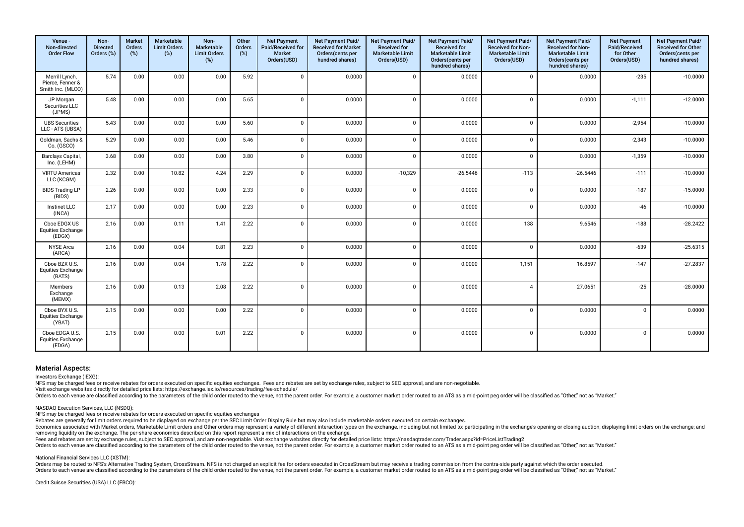| Venue -<br>Non-directed<br><b>Order Flow</b>            | Non-<br><b>Directed</b><br>Orders (%) | <b>Market</b><br>Orders<br>(%) | Marketable<br><b>Limit Orders</b><br>(%) | Non-<br><b>Marketable</b><br><b>Limit Orders</b><br>(%) | Other<br><b>Orders</b><br>(%) | <b>Net Payment</b><br>Paid/Received for<br>Market<br>Orders(USD) | Net Payment Paid/<br><b>Received for Market</b><br>Orders(cents per<br>hundred shares) | Net Payment Paid/<br><b>Received for</b><br><b>Marketable Limit</b><br>Orders(USD) | Net Payment Paid/<br><b>Received for</b><br><b>Marketable Limit</b><br>Orders(cents per<br>hundred shares) | Net Payment Paid/<br>Received for Non-<br><b>Marketable Limit</b><br>Orders(USD) | Net Payment Paid/<br>Received for Non-<br><b>Marketable Limit</b><br>Orders(cents per<br>hundred shares) | <b>Net Payment</b><br>Paid/Received<br>for Other<br>Orders(USD) | Net Payment Paid/<br>Received for Other<br>Orders(cents per<br>hundred shares) |
|---------------------------------------------------------|---------------------------------------|--------------------------------|------------------------------------------|---------------------------------------------------------|-------------------------------|------------------------------------------------------------------|----------------------------------------------------------------------------------------|------------------------------------------------------------------------------------|------------------------------------------------------------------------------------------------------------|----------------------------------------------------------------------------------|----------------------------------------------------------------------------------------------------------|-----------------------------------------------------------------|--------------------------------------------------------------------------------|
| Merrill Lynch,<br>Pierce, Fenner &<br>Smith Inc. (MLCO) | 5.74                                  | 0.00                           | 0.00                                     | 0.00                                                    | 5.92                          | $\Omega$                                                         | 0.0000                                                                                 | $\mathbf{0}$                                                                       | 0.0000                                                                                                     | $\mathbf 0$                                                                      | 0.0000                                                                                                   | $-235$                                                          | $-10.0000$                                                                     |
| JP Morgan<br>Securities LLC<br>(JPMS)                   | 5.48                                  | 0.00                           | 0.00                                     | 0.00                                                    | 5.65                          | $\Omega$                                                         | 0.0000                                                                                 | $\mathbf 0$                                                                        | 0.0000                                                                                                     | $\Omega$                                                                         | 0.0000                                                                                                   | $-1,111$                                                        | $-12.0000$                                                                     |
| <b>UBS Securities</b><br>LLC - ATS (UBSA)               | 5.43                                  | 0.00                           | 0.00                                     | 0.00                                                    | 5.60                          | $\Omega$                                                         | 0.0000                                                                                 | $\Omega$                                                                           | 0.0000                                                                                                     | $\Omega$                                                                         | 0.0000                                                                                                   | $-2,954$                                                        | $-10.0000$                                                                     |
| Goldman, Sachs &<br>Co. (GSCO)                          | 5.29                                  | 0.00                           | 0.00                                     | 0.00                                                    | 5.46                          | $\Omega$                                                         | 0.0000                                                                                 | $\overline{0}$                                                                     | 0.0000                                                                                                     | $\Omega$                                                                         | 0.0000                                                                                                   | $-2,343$                                                        | $-10.0000$                                                                     |
| Barclays Capital,<br>Inc. (LEHM)                        | 3.68                                  | 0.00                           | 0.00                                     | 0.00                                                    | 3.80                          | $\Omega$                                                         | 0.0000                                                                                 | $\Omega$                                                                           | 0.0000                                                                                                     | $\Omega$                                                                         | 0.0000                                                                                                   | $-1,359$                                                        | $-10.0000$                                                                     |
| <b>VIRTU Americas</b><br>LLC (KCGM)                     | 2.32                                  | 0.00                           | 10.82                                    | 4.24                                                    | 2.29                          | $\Omega$                                                         | 0.0000                                                                                 | $-10,329$                                                                          | $-26.5446$                                                                                                 | $-113$                                                                           | $-26.5446$                                                                                               | $-111$                                                          | $-10.0000$                                                                     |
| <b>BIDS Trading LP</b><br>(BIDS)                        | 2.26                                  | 0.00                           | 0.00                                     | 0.00                                                    | 2.33                          | $\Omega$                                                         | 0.0000                                                                                 | $\Omega$                                                                           | 0.0000                                                                                                     | $\Omega$                                                                         | 0.0000                                                                                                   | $-187$                                                          | $-15.0000$                                                                     |
| Instinet LLC<br>(INCA)                                  | 2.17                                  | 0.00                           | 0.00                                     | 0.00                                                    | 2.23                          | $\Omega$                                                         | 0.0000                                                                                 | $\Omega$                                                                           | 0.0000                                                                                                     | $\Omega$                                                                         | 0.0000                                                                                                   | $-46$                                                           | $-10.0000$                                                                     |
| Cboe EDGX US<br><b>Equities Exchange</b><br>(EDGX)      | 2.16                                  | 0.00                           | 0.11                                     | 1.41                                                    | 2.22                          | $\Omega$                                                         | 0.0000                                                                                 | $\Omega$                                                                           | 0.0000                                                                                                     | 138                                                                              | 9.6546                                                                                                   | $-188$                                                          | $-28.2422$                                                                     |
| <b>NYSE</b> Arca<br>(ARCA)                              | 2.16                                  | 0.00                           | 0.04                                     | 0.81                                                    | 2.23                          | $\Omega$                                                         | 0.0000                                                                                 | $\mathbf{0}$                                                                       | 0.0000                                                                                                     | $\Omega$                                                                         | 0.0000                                                                                                   | $-639$                                                          | $-25.6315$                                                                     |
| Cboe BZX U.S.<br><b>Equities Exchange</b><br>(BATS)     | 2.16                                  | 0.00                           | 0.04                                     | 1.78                                                    | 2.22                          | $\Omega$                                                         | 0.0000                                                                                 | $\Omega$                                                                           | 0.0000                                                                                                     | 1,151                                                                            | 16.8597                                                                                                  | $-147$                                                          | $-27.2837$                                                                     |
| Members<br>Exchange<br>(MEMX)                           | 2.16                                  | 0.00                           | 0.13                                     | 2.08                                                    | 2.22                          | $\Omega$                                                         | 0.0000                                                                                 | $\Omega$                                                                           | 0.0000                                                                                                     | $\overline{A}$                                                                   | 27.0651                                                                                                  | $-25$                                                           | $-28.0000$                                                                     |
| Cboe BYX U.S.<br><b>Equities Exchange</b><br>(YBAT)     | 2.15                                  | 0.00                           | 0.00                                     | 0.00                                                    | 2.22                          | $\Omega$                                                         | 0.0000                                                                                 | $\Omega$                                                                           | 0.0000                                                                                                     | $\Omega$                                                                         | 0.0000                                                                                                   | $\Omega$                                                        | 0.0000                                                                         |
| Cboe EDGA U.S.<br><b>Equities Exchange</b><br>(EDGA)    | 2.15                                  | 0.00                           | 0.00                                     | 0.01                                                    | 2.22                          | $\Omega$                                                         | 0.0000                                                                                 | $\mathbf{0}$                                                                       | 0.0000                                                                                                     | $\Omega$                                                                         | 0.0000                                                                                                   | $\Omega$                                                        | 0.0000                                                                         |

Investors Exchange (IEXG):

NFS may be charged fees or receive rebates for orders executed on specific equities exchanges. Fees and rebates are set by exchange rules, subject to SEC approval, and are non-negotiable.

Visit exchange websites directly for detailed price lists: https://exchange.iex.io/resources/trading/fee-schedule/

Orders to each venue are classified according to the parameters of the child order routed to the venue, not the parent order. For example, a customer market order routed to an ATS as a mid-point peq order will be classifie

NASDAQ Execution Services, LLC (NSDQ):

NFS may be charged fees or receive rebates for orders executed on specifc equities exchanges

Rebates are generally for limit orders required to be displayed on exchange per the SEC Limit Order Display Rule but may also include marketable orders executed on certain exchanges.

Economics associated with Market orders, Marketable Limit orders and Other orders may represent a variety of different interaction types on the exchange, including but not limited to: participating in the exchange's openin removing liquidity on the exchange. The per-share economics described on this report represent a mix of interactions on the exchange.

Fees and rebates are set by exchange rules, subject to SEC approval, and are non-negotiable. Visit exchange websites directly for detailed price lists: https://nasdaqtrader.com/Trader.aspx?id=PriceListTrading2

Orders to each venue are classified according to the parameters of the child order routed to the venue, not the parent order. For example, a customer market order routed to an ATS as a mid-point peg order will be classifie

National Financial Services LLC (XSTM):

Orders may be routed to NFS's Alternative Trading System, CrossStream. NFS is not charged an explicit fee for orders executed in CrossStream but may receive a trading commission from the contra-side party against which the Orders to each venue are classified according to the parameters of the child order routed to the venue, not the parent order. For example, a customer market order routed to an ATS as a mid-point peg order will be classifie

Credit Suisse Securities (USA) LLC (FBCO):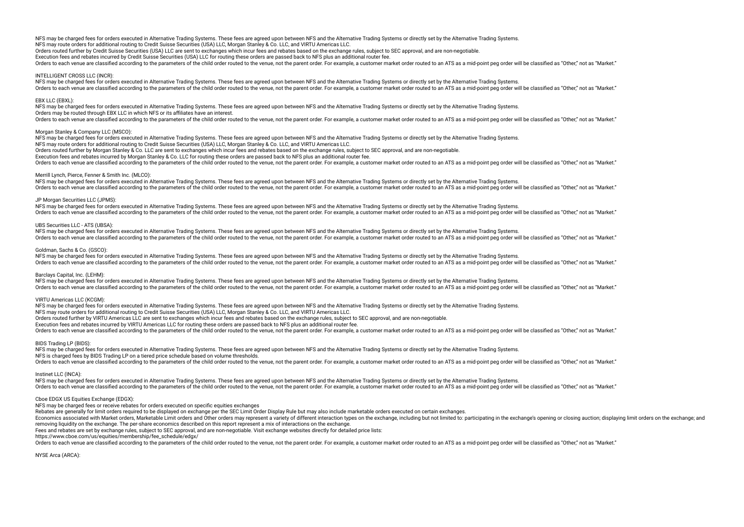Orders routed further by Credit Suisse Securities (USA) LLC are sent to exchanges which incur fees and rebates based on the exchange rules, subject to SEC approval, and are non-negotiable. Execution fees and rebates incurred by Credit Suisse Securities (USA) LLC for routing these orders are passed back to NFS plus an additional router fee.

Orders to each venue are classified according to the parameters of the child order routed to the venue, not the parent order. For example, a customer market order routed to an ATS as a mid-point peg order will be classifie

### INTELLIGENT CROSS LLC (INCR):

NFS may be charged fees for orders executed in Alternative Trading Systems. These fees are agreed upon between NFS and the Alternative Trading Systems or directly set by the Alternative Trading Systems. Orders to each venue are classified according to the parameters of the child order routed to the venue, not the parent order. For example, a customer market order routed to an ATS as a mid-point peg order will be classifie

### EBX LLC (EBXL):

NFS may be charged fees for orders executed in Alternative Trading Systems. These fees are agreed upon between NFS and the Alternative Trading Systems or directly set by the Alternative Trading Systems. Orders may be routed through EBX LLC in which NFS or its afliates have an interest.

Orders to each venue are classified according to the parameters of the child order routed to the venue, not the parent order. For example, a customer market order routed to an ATS as a mid-point peg order will be classifie

### Morgan Stanley & Company LLC (MSCO):

NFS may be charged fees for orders executed in Alternative Trading Systems. These fees are agreed upon between NFS and the Alternative Trading Systems or directly set by the Alternative Trading Systems or directly set by t

NFS may route orders for additional routing to Credit Suisse Securities (USA) LLC, Morgan Stanley & Co. LLC, and VIRTU Americas LLC.

Orders routed further by Morgan Stanley & Co. LLC are sent to exchanges which incur fees and rebates based on the exchange rules, subject to SEC approval, and are non-negotiable.

Execution fees and rebates incurred by Morgan Stanley & Co. LLC for routing these orders are passed back to NFS plus an additional router fee.

Orders to each venue are classified according to the parameters of the child order routed to the venue, not the parent order. For example, a customer market order routed to an ATS as a mid-point peq order will be classifie

### Merrill Lynch, Pierce, Fenner & Smith Inc. (MLCO):

NFS may be charged fees for orders executed in Alternative Trading Systems. These fees are agreed upon between NFS and the Alternative Trading Systems or directly set by the Alternative Trading Systems or directly set by t Orders to each venue are classified according to the parameters of the child order routed to the venue, not the parent order. For example, a customer market order routed to an ATS as a mid-point peg order will be classifie

### JP Morgan Securities LLC (JPMS):

NFS may be charged fees for orders executed in Alternative Trading Systems. These fees are agreed upon between NFS and the Alternative Trading Systems or directly set by the Alternative Trading Systems. Orders to each venue are classified according to the parameters of the child order routed to the venue, not the parent order. For example, a customer market order routed to an ATS as a mid-point peg order will be classifie

### UBS Securities LLC - ATS (UBSA):

NFS may be charged fees for orders executed in Alternative Trading Systems. These fees are agreed upon between NFS and the Alternative Trading Systems or directly set by the Alternative Trading Systems or directly set by t Orders to each venue are classified according to the parameters of the child order routed to the venue, not the parent order. For example, a customer market order routed to an ATS as a mid-point peg order will be classifie

### Goldman, Sachs & Co. (GSCO):

NFS may be charged fees for orders executed in Alternative Trading Systems. These fees are agreed upon between NFS and the Alternative Trading Systems or directly set by the Alternative Trading Systems or directly set by t The sach venue are classified according to the narameters of the child order routed to the yenue pot the parent order. For example a customer market order routed to an ATS as a mid-point peg order will be classified as "Ot

### Barclays Capital, Inc. (LEHM):

NFS may be charged fees for orders executed in Alternative Trading Systems. These fees are agreed upon between NFS and the Alternative Trading Systems or directly set by the Alternative Trading Systems. Orders to each venue are classified according to the parameters of the child order routed to the venue, not the parent order. For example, a customer market order routed to an ATS as a mid-point peg order will be classifie

### VIRTU Americas LLC (KCGM):

NFS may be charged fees for orders executed in Alternative Trading Systems. These fees are agreed upon between NFS and the Alternative Trading Systems or directly set by the Alternative Trading Systems. NFS may route orders for additional routing to Credit Suisse Securities (USA) LLC, Morgan Stanley & Co. LLC, and VIRTU Americas LLC. Orders routed further by VIRTU Americas LLC are sent to exchanges which incur fees and rebates based on the exchange rules, subject to SEC approval, and are non-negotiable. Execution fees and rebates incurred by VIRTU Americas LLC for routing these orders are passed back to NFS plus an additional router fee. Orders to each venue are classified according to the parameters of the child order routed to the venue, not the parent order. For example, a customer market order routed to an ATS as a mid-point peg order will be classifie

### BIDS Trading LP (BIDS):

NFS may be charged fees for orders executed in Alternative Trading Systems. These fees are agreed upon between NFS and the Alternative Trading Systems or directly set by the Alternative Trading Systems. NFS is charged fees by BIDS Trading LP on a tiered price schedule based on volume thresholds. Orders to each venue are classified according to the parameters of the child order routed to the venue, not the parent order. For example, a customer market order routed to an ATS as a mid-point peg order will be classifie

### Instinet LLC (INCA):

NFS may be charged fees for orders executed in Alternative Trading Systems. These fees are agreed upon between NFS and the Alternative Trading Systems or directly set by the Alternative Trading Systems. Orders to each venue are classified according to the parameters of the child order routed to the venue, not the parent order. For example, a customer market order routed to an ATS as a mid-point peg order will be classifie

### Cboe EDGX US Equities Exchange (EDGX):

NFS may be charged fees or receive rebates for orders executed on specifc equities exchanges

Rebates are generally for limit orders required to be displayed on exchange per the SEC Limit Order Display Rule but may also include marketable orders executed on certain exchanges.

Economics associated with Market orders, Marketable Limit orders and Other orders may represent a variety of different interaction types on the exchange, including but not limited to: participating in the exchange's openin removing liquidity on the exchange. The per-share economics described on this report represent a mix of interactions on the exchange.

Fees and rebates are set by exchange rules, subject to SEC approval, and are non-negotiable. Visit exchange websites directly for detailed price lists:

https://www.cboe.com/us/equities/membership/fee\_schedule/edgx/

Curies to each venue are classified according to the parameters of the child order routed to the yenue not the parent order. For example a customer market order routed to an ATS as a mid-point peo order will be classified

NYSE Arca (ARCA):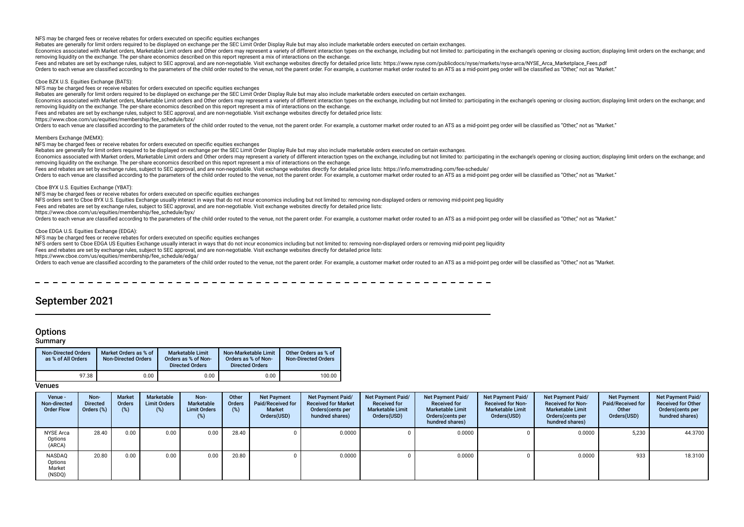NFS may be charged fees or receive rebates for orders executed on specifc equities exchanges

Rebates are generally for limit orders required to be displayed on exchange per the SEC Limit Order Display Rule but may also include marketable orders executed on certain exchanges.

Economics associated with Market orders, Marketable Limit orders and Other orders may represent a variety of different interaction types on the exchange, including but not limited to: participating in the exchange's openin removing liquidity on the exchange. The per-share economics described on this report represent a mix of interactions on the exchange.

Fees and rebates are set by exchange rules, subject to SEC approval, and are non-negotiable. Visit exchange websites directly for detailed price lists: https://www.nyse.com/publicdocs/nyse/markets/nyse-arca/NYSE\_Arca\_Marke

Orders to each venue are classified according to the parameters of the child order routed to the venue, not the parent order. For example, a customer market order routed to an ATS as a mid-point peg order will be classifie

Cboe BZX U.S. Equities Exchange (BATS):

NFS may be charged fees or receive rebates for orders executed on specifc equities exchanges

Rebates are generally for limit orders required to be displayed on exchange per the SEC Limit Order Display Rule but may also include marketable orders executed on certain exchanges.

Economics associated with Market orders, Marketable Limit orders and Other orders may represent a variety of different interaction types on the exchange, including but not limited to: participating in the exchange's openin removing liquidity on the exchange. The per-share economics described on this report represent a mix of interactions on the exchange.

Fees and rebates are set by exchange rules, subject to SEC approval, and are non-negotiable. Visit exchange websites directly for detailed price lists:

https://www.cboe.com/us/equities/membership/fee\_schedule/bzx/

Orders to each venue are classified according to the parameters of the child order routed to the venue, not the parent order. For example, a customer market order routed to an ATS as a mid-point peg order will be classifie

Members Exchange (MEMX):

NFS may be charged fees or receive rebates for orders executed on specifc equities exchanges

Rebates are generally for limit orders required to be displayed on exchange per the SEC Limit Order Display Rule but may also include marketable orders executed on certain exchanges.

Economics associated with Market orders, Marketable Limit orders and Other orders may represent a variety of different interaction types on the exchange, including but not limited to: participating in the exchange's openin removing liquidity on the exchange. The per-share economics described on this report represent a mix of interactions on the exchange.

Fees and rebates are set by exchange rules, subject to SEC approval, and are non-negotiable. Visit exchange websites directly for detailed price lists: https://info.memxtrading.com/fee-schedule/

Orders to each venue are classified according to the parameters of the child order routed to the venue, not the parent order. For example, a customer market order routed to an ATS as a mid-point peg order will be classifie

### Cboe BYX U.S. Equities Exchange (YBAT):

NFS may be charged fees or receive rebates for orders executed on specifc equities exchanges

NFS orders sent to Cboe BYX U.S. Equities Exchange usually interact in ways that do not incur economics including but not limited to: removing non-displayed orders or removing mid-point peg liquidity

Fees and rebates are set by exchange rules, subject to SEC approval, and are non-negotiable. Visit exchange websites directly for detailed price lists:

https://www.cboe.com/us/equities/membership/fee\_schedule/byx/

Orders to each venue are classified according to the parameters of the child order routed to the venue, not the parent order. For example, a customer market order routed to an ATS as a mid-point peg order will be classifie

### Cboe EDGA U.S. Equities Exchange (EDGA):

NFS may be charged fees or receive rebates for orders executed on specific equities exchanges

NFS orders sent to Cboe EDGA US Equities Exchange usually interact in ways that do not incur economics including but not limited to: removing non-displayed orders or removing mid-point peg liquidity

Fees and rebates are set by exchange rules, subject to SEC approval, and are non-negotiable. Visit exchange websites directly for detailed price lists:

https://www.cboe.com/us/equities/membership/fee\_schedule/edga/

The parameters of the child order routed to the way and the Child order to the very the child order routed to the yenue pot the parent order. For example a customer market order routed to an ATS as a mid-point peq order wi

## September 2021

### **Options**

### **Summary**

| <b>Non-Directed Orders</b><br>as % of All Orders | Market Orders as % of<br><b>Non-Directed Orders</b> | <b>Marketable Limit</b><br>Orders as % of Non-<br><b>Directed Orders</b> | Non-Marketable Limit<br>Orders as % of Non-<br><b>Directed Orders</b> | Other Orders as % of<br><b>Non-Directed Orders</b> |
|--------------------------------------------------|-----------------------------------------------------|--------------------------------------------------------------------------|-----------------------------------------------------------------------|----------------------------------------------------|
| 97.38                                            | 0.00                                                | 0.00                                                                     | 0.00                                                                  | 100.00                                             |

| Venue -<br>Non-directed<br><b>Order Flow</b> | Non-<br><b>Directed</b><br>Orders (%) | <b>Market</b><br>Orders<br>(%) | Marketable<br><b>Limit Orders</b><br>(%) | Non-<br><b>Marketable</b><br><b>Limit Orders</b><br>(%) | Other<br>Orders<br>(%) | <b>Net Payment</b><br>Paid/Received for<br>Market<br>Orders(USD) | <b>Net Payment Paid/</b><br><b>Received for Market</b><br>Orders (cents per<br>hundred shares) | Net Payment Paid/<br><b>Received for</b><br><b>Marketable Limit</b><br>Orders(USD) | Net Payment Paid/<br><b>Received for</b><br><b>Marketable Limit</b><br>Orders (cents per<br>hundred shares) | Net Payment Paid/<br><b>Received for Non-</b><br><b>Marketable Limit</b><br>Orders(USD) | Net Payment Paid/<br><b>Received for Non-</b><br><b>Marketable Limit</b><br>Orders(cents per<br>hundred shares) | <b>Net Payment</b><br>Paid/Received for<br>Other<br>Orders(USD) | Net Payment Paid/<br><b>Received for Other</b><br>Orders (cents per<br>hundred shares) |
|----------------------------------------------|---------------------------------------|--------------------------------|------------------------------------------|---------------------------------------------------------|------------------------|------------------------------------------------------------------|------------------------------------------------------------------------------------------------|------------------------------------------------------------------------------------|-------------------------------------------------------------------------------------------------------------|-----------------------------------------------------------------------------------------|-----------------------------------------------------------------------------------------------------------------|-----------------------------------------------------------------|----------------------------------------------------------------------------------------|
| <b>NYSE Arca</b><br>Options<br>(ARCA)        | 28.40                                 | 0.00                           | 0.00                                     | 0.00                                                    | 28.40                  |                                                                  | 0.0000                                                                                         |                                                                                    | 0.0000                                                                                                      |                                                                                         | 0.0000                                                                                                          | 5,230                                                           | 44.3700                                                                                |
| NASDAQ<br>Options<br>Market<br>(NSDQ)        | 20.80                                 | 0.00                           | 0.00                                     | 0.00                                                    | 20.80                  |                                                                  | 0.0000                                                                                         |                                                                                    | 0.0000                                                                                                      |                                                                                         | 0.0000                                                                                                          | 933                                                             | 18.3100                                                                                |